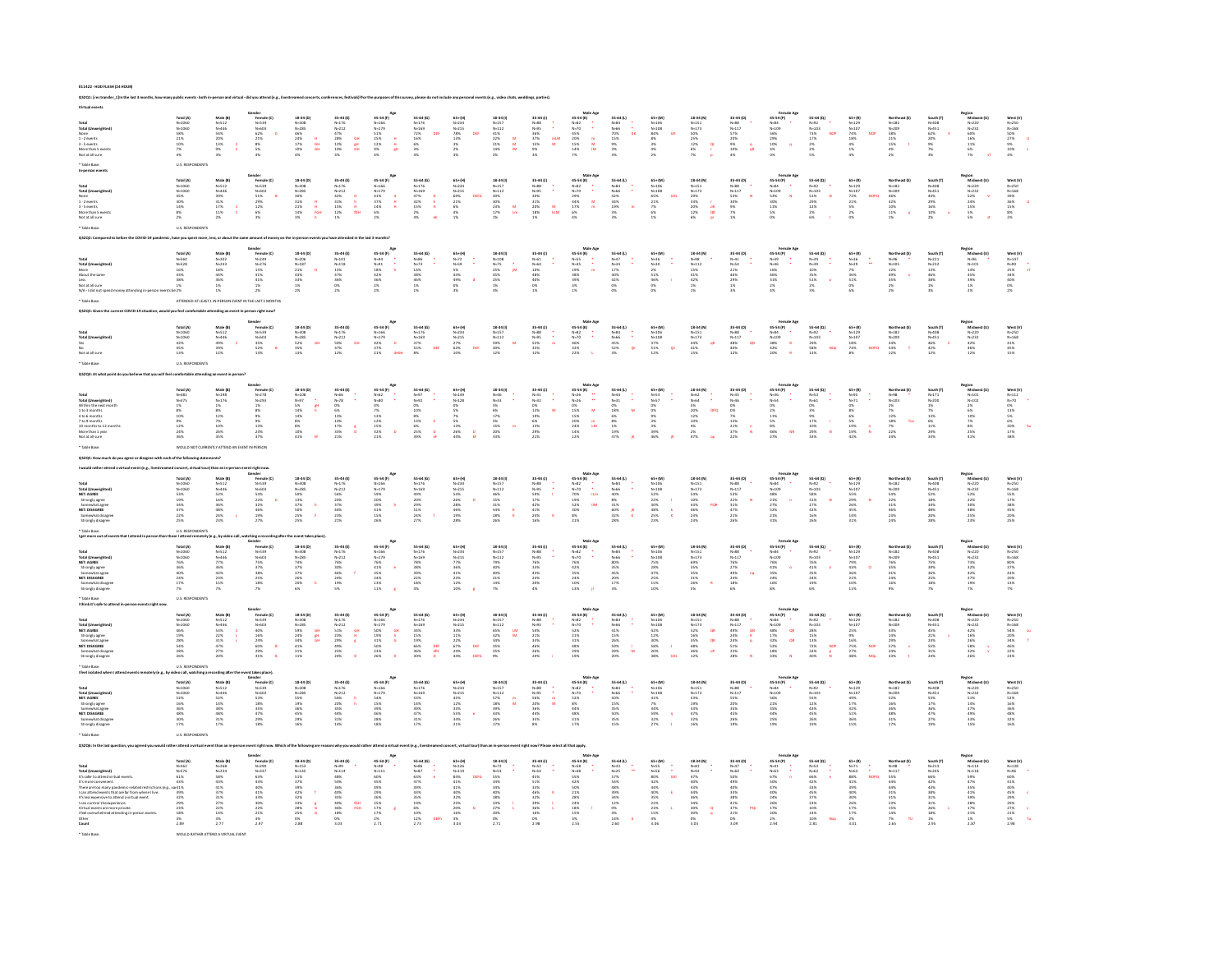| rosal<br>Total (Unweig)<br>None<br>1 - 2 events<br>3 - 5 events<br>More than 5 eve<br>Not at all cure                                                                                                                                                                                                                 | Total (A)<br>N=1060<br>N=1060<br>S8%<br>21%<br>21%<br>7%<br>4%                                               | Male (B)<br>N=512<br>N=446<br>S4%<br>20%<br>20%<br>3%<br>9%                                      | iender<br>Fermale (C)<br>N-539<br>N-603<br>62%  <br>21%  <br>21%  <br>8%  <br>4%                                     | $18-34 (0)$ $N=308$<br>$N=285$<br>$46\%$<br>$24\%$<br>$17\%$<br>$10\%$<br>$4\%$<br>$\frac{H}{GH}$                                                                                    | 35-44 (E)<br>N=176<br>N=212<br>47%<br>47%<br>28%<br>12%<br>10%<br>GH<br>애                                                                                                                | 45-54 (F)<br>$N=166$<br>$N=179$<br>5.1%<br>2.5%<br>1.2%<br>9%<br>4%<br>in a a                                                                                                                                                                         | $55-64(6)$<br>$N-169$<br>$72%$<br>$16%$<br>$6%$<br>$3%$<br>$4%$                                                                                                                                                     | $\begin{array}{r} 65* (M) \\ N=234 \\ N=215 \\ 78\% \\ 13\% \\ 3\% \\ 2\% \\ 3\% \end{array}$                                                    | $\begin{array}{r} \textbf{18-34}\; \textbf{0)} \\ \textbf{N=157} \\ \textbf{N=112} \\ \textbf{41}\; \textbf{9} \\ \textbf{22}\; \textbf{9} \\ \textbf{21}\; \textbf{9} \\ \textbf{14}\; \textbf{9} \\ \textbf{29} \\ \textbf{21}\; \textbf{9} \\ \textbf{21}\; \textbf{9} \\ \textbf{22}\; \textbf{9} \\ \textbf{23}\; \textbf{1} \end{array}$<br>$\begin{array}{c}\nM \\ M \\ M\n\end{array}$ | 35-44 (J)<br>N=88<br>N=95<br>S6%<br>37%<br>15%<br>9%<br>3%<br>$\begin{bmatrix} 1 \\ 2 \\ 3 \\ 3 \\ 3 \\ 3 \\ 3 \\ 4 \end{bmatrix}$                                          | Male Age<br>45-54 (K)<br>N=32<br>45%<br>20% m<br>15% M<br>14% M                                                                                                                                                                                                                                                                                                                                           | $55-64 (1)$<br>$N=66$<br>$N=66$<br>$70%$<br>$15%$<br>$9%$<br>$3%$<br>$3%$                                                                                                                                                                                                                                         | $\begin{array}{r} 65* (M) \\ N-106 \\ N-108 \\ 84 \% \\ 8 \% \\ 3 \% \\ 4 \% \\ 2 \% \end{array}$                | $\begin{array}{r} \bf 18\ 34\ [N] \\ N\! =\! 15\,1 \\ N\! =\! 17\,3 \\ 10\,9\,4 \\ 2\,5\,9\,4 \\ 12\,9\,4 \\ 6\,9\,4 \\ 7\,9\,4 \end{array}$<br>$\frac{\alpha}{\epsilon}$                              | 35-44 (0)<br>N=88<br>N=117<br>S7%<br>20%<br>20%<br>9%<br>10%<br>4%<br>$\frac{q}{qR}$                    | $\begin{array}{r} \textbf{Female 4}\\ \textbf{45-54 (P)}\\ \textbf{N-84}\\ \textbf{N-109}\\ \textbf{56\%}\\ \textbf{56\%}\\ \textbf{10\%}\\ \textbf{4\%}\\ \textbf{06}\end{array}$                                                                                                                                                                                                                                                                                                | 55-64 (Q)<br>N=92<br>N=103<br>73%<br>17%<br>17%<br>2%<br>2%<br>NOP                                                                        | $65*(R)$<br>$N=129$<br>$N=107$<br>$74%$<br>$18%$<br>$4%$<br>$1%$<br>$4%$                        | Northeast (S)<br>N-182<br>N-209<br>58%<br>21%<br>25%<br>4%<br>4%                        | South (T)<br>N=408<br>N=451<br>62%<br>20%<br>20%<br>9%<br>7%<br>7%             | lagion<br>Midwest (U)<br>N-232<br>60%<br>16%<br>16%<br>11%<br>6%<br>7%                                      | West (V)<br>N=250<br>N=168<br>S0%<br>27%<br>9%<br>10%<br>10%<br>4%              |
|-----------------------------------------------------------------------------------------------------------------------------------------------------------------------------------------------------------------------------------------------------------------------------------------------------------------------|--------------------------------------------------------------------------------------------------------------|--------------------------------------------------------------------------------------------------|----------------------------------------------------------------------------------------------------------------------|--------------------------------------------------------------------------------------------------------------------------------------------------------------------------------------|------------------------------------------------------------------------------------------------------------------------------------------------------------------------------------------|-------------------------------------------------------------------------------------------------------------------------------------------------------------------------------------------------------------------------------------------------------|---------------------------------------------------------------------------------------------------------------------------------------------------------------------------------------------------------------------|--------------------------------------------------------------------------------------------------------------------------------------------------|------------------------------------------------------------------------------------------------------------------------------------------------------------------------------------------------------------------------------------------------------------------------------------------------------------------------------------------------------------------------------------------------|-----------------------------------------------------------------------------------------------------------------------------------------------------------------------------|-----------------------------------------------------------------------------------------------------------------------------------------------------------------------------------------------------------------------------------------------------------------------------------------------------------------------------------------------------------------------------------------------------------|-------------------------------------------------------------------------------------------------------------------------------------------------------------------------------------------------------------------------------------------------------------------------------------------------------------------|------------------------------------------------------------------------------------------------------------------|--------------------------------------------------------------------------------------------------------------------------------------------------------------------------------------------------------|---------------------------------------------------------------------------------------------------------|-----------------------------------------------------------------------------------------------------------------------------------------------------------------------------------------------------------------------------------------------------------------------------------------------------------------------------------------------------------------------------------------------------------------------------------------------------------------------------------|-------------------------------------------------------------------------------------------------------------------------------------------|-------------------------------------------------------------------------------------------------|-----------------------------------------------------------------------------------------|--------------------------------------------------------------------------------|-------------------------------------------------------------------------------------------------------------|---------------------------------------------------------------------------------|
|                                                                                                                                                                                                                                                                                                                       |                                                                                                              |                                                                                                  |                                                                                                                      |                                                                                                                                                                                      |                                                                                                                                                                                          |                                                                                                                                                                                                                                                       |                                                                                                                                                                                                                     |                                                                                                                                                  |                                                                                                                                                                                                                                                                                                                                                                                                |                                                                                                                                                                             |                                                                                                                                                                                                                                                                                                                                                                                                           |                                                                                                                                                                                                                                                                                                                   |                                                                                                                  |                                                                                                                                                                                                        |                                                                                                         |                                                                                                                                                                                                                                                                                                                                                                                                                                                                                   |                                                                                                                                           |                                                                                                 |                                                                                         |                                                                                |                                                                                                             |                                                                                 |
| Total<br>Total (Unweighted<br>None<br>1 - 2 events<br>3 - 5 events<br>More than 5 event<br>Not at all sure                                                                                                                                                                                                            | Total (A)<br>N=1060<br>N=1060<br>45%<br>30%<br>14%<br>3%<br>2%                                               | Male (B)<br>N=512<br>N=446<br>39%<br>31%<br>17%<br>11%<br>11%                                    | Gender<br>Female (C)<br>N=539<br>N=603<br>S1%<br>29%<br>29%<br>6%<br>6%                                              | 18-34 (D)<br>N=308<br>N=285<br>30%<br>31%<br>21%<br>14%<br>14%<br>$\begin{array}{c}\n\mathbf{H} \\ \mathbf{H} \\ \mathbf{FGH}\n\end{array}$                                          | $\begin{array}{l} 35\text{--}44\text{ (E)} \\ \text{N}{-}176 \\ \text{N}{-}212 \\ \text{42\%} \\ 31\% \\ \text{15\%} \\ 12\% \\ \text{1\%} \end{array}$<br>$\frac{d}{dt} = \frac{d}{dt}$ | 45-54 (F)<br>N=166<br>N=179<br>41%<br>37%<br>14%<br>6%<br>2%<br>$\frac{d}{dt}$                                                                                                                                                                        | 55-64 (0)<br>N-176<br>N-169<br>A7%<br>A7%<br>32%<br>15%<br>2%<br>A%<br>$\frac{p}{n}$                                                                                                                                | 65+(M)<br>N=234<br>N=215<br>69%<br>21%<br>6%<br>4%<br>4%<br>1%                                                                                   | $\begin{array}{l} 18\text{-}34\text{ }\vert 0 \rangle \\ \text{N-}157 \\ \text{N-}112 \\ 30\% \\ 30\% \\ 23\% \\ 23\% \\ 1\% \\ \end{array}$<br>$\frac{M}{Lm}$                                                                                                                                                                                                                                 | $\begin{array}{l} 35-44\ (i)\\ \mathsf{N-8.8}\\ \mathsf{N-9.5}\\ 30\%\\ 31\%\\ 20\%\\ 18\%\\ 1\% \end{array}$<br>$\begin{bmatrix} 1 \\ 0 \\ 0 \\ 0 \\ 0 \\ 0 \end{bmatrix}$ | Male Age<br>45-54 (K)<br>N=32<br>N=70<br>44%<br>44%<br>17% m<br>6%                                                                                                                                                                                                                                                                                                                                        | $55-64 (k)$<br>$N=66$<br>$N=66$<br>$42%$<br>$34%$<br>$19%$<br>$3%$<br>$3%$                                                                                                                                                                                                                                        | $\begin{array}{l} 65* (M) \\ N-106 \\ N-108 \\ 65 \% \\ 21 \% \\ 7 \% \\ 6 \% \\ 1 \% \end{array}$               | $\begin{array}{l} \bf 18\,34\, (N)\\ N\! =\! 15\,1\\ N\! =\! 17\,3\\ 2\,9\,\%\\ 3\,3\,\%\\ 2\,0\,\%\\ 12\,\%\\ 6\,\%\\ \end{array}$<br>$rac{r}{\alpha R}$                                              | $15 - 44  0\rangle$<br>$N = 88$<br>$N = 117$<br>$53%$<br>$30%$<br>$9%$<br>$7%$<br>$1%$                  | Femal<br>45-54 (P)<br>N-64<br>N-109<br>S3%<br>11%<br>S%<br>S%<br>O%                                                                                                                                                                                                                                                                                                                                                                                                               | $55-64 (Q)$<br>$N=02$<br>$51\%$<br>$29\%$<br>$21\%$<br>$2\%$<br>$6\%$                                                                     | 65+(R)<br>N=129<br>N=107<br>72%<br>21%<br>5%<br>2%                                              | Northeast (S)<br>N=182<br>N=209<br>46%<br>32%<br>10%<br>11%<br>11%<br>11%               | South (T)<br>N=408<br>N=451<br>44%<br>29%<br>16%<br>10%<br>2%                  | Region<br>Midwest (U)<br>N+232<br>S2% V<br>24%<br>15%<br>S% S% st                                           | West (V)<br>N=250<br>N=168<br>S9%<br>S6%<br>S6%<br>15%<br>R%<br>2%              |
|                                                                                                                                                                                                                                                                                                                       |                                                                                                              |                                                                                                  |                                                                                                                      |                                                                                                                                                                                      |                                                                                                                                                                                          |                                                                                                                                                                                                                                                       |                                                                                                                                                                                                                     |                                                                                                                                                  |                                                                                                                                                                                                                                                                                                                                                                                                |                                                                                                                                                                             |                                                                                                                                                                                                                                                                                                                                                                                                           |                                                                                                                                                                                                                                                                                                                   |                                                                                                                  |                                                                                                                                                                                                        |                                                                                                         |                                                                                                                                                                                                                                                                                                                                                                                                                                                                                   |                                                                                                                                           |                                                                                                 |                                                                                         |                                                                                |                                                                                                             |                                                                                 |
| <b>Total (Unweighted</b><br>More<br>About the same<br>Less<br>Not at all sure<br>N/A - I did not sper                                                                                                                                                                                                                 | Total (A)<br>N=560<br>N=528<br>16%<br>43%<br>38%                                                             | Male (B<br>N=302<br>N=243<br>18%<br>44%<br>36%<br>1%<br>1%                                       | nder<br>Female (C)<br>N=249<br>N=276<br>15%<br>41%<br>41%<br>2%                                                      | $\begin{array}{l} 18\text{-}34\ (0) \\ \mathsf{N}{\sim}206 \\ \mathsf{N}{\sim}187 \\ 2\,1\% \\ 4\,3\% \\ 3\,3\% \\ 1\% \\ 2\% \end{array}$                                           | 35.44 (E)<br>N=101<br>N=118<br>15%<br>47%<br>36%<br>0%<br>0%                                                                                                                             | $45-54(9)$<br>$N=94$<br>$N=91$<br>$18%$<br>$42%$<br>$2%$<br>$2%$                                                                                                                                                                                      | $55 - 64 (6)$<br>$N = 73$<br>$14%$<br>$38%$<br>$46%$<br>$1%$<br>$1%$                                                                                                                                                | $\begin{array}{r} 65* (M) \\ N+72 \\ N+59 \\ S \% \\ 44 \% \\ 49 \% \\ 0 \% \\ 3 \% \end{array}$                                                 | $\begin{array}{l} \textbf{18-34}\; \textbf{\textcolor{red}{(4)}} \\ \textbf{N}{\textcolor{red}{+}}\textbf{108} \\ \textbf{N}{\textcolor{red}{+}}\textbf{75} \\ \textbf{25\%} \\ \textbf{45\%} \\ \textbf{25\%} \\ \textbf{1\%} \\ \textbf{3\%} \end{array}$                                                                                                                                    | $35-44 (1)$<br>$N=64$<br>$N=64$<br>$10\%$<br>$48\%$<br>$40\%$<br>$0\%$<br>$1\%$                                                                                             | Mate Ag<br>45-55 (K)<br>N=55<br>19%<br>19%<br>38%<br>39%<br>3%                                                                                                                                                                                                                                                                                                                                            | $55-64 (k)$<br>$N=34$<br>$17%$<br>$40%$<br>$42%$<br>$0%$<br>$0%$                                                                                                                                                                                                                                                  | $\begin{array}{l} 65* (M) \\ N-36 \\ N-30 \\ 2\% \\ 51\% \\ 46\% \\ 0\% \\ 0\% \end{array}$                      | $\begin{array}{l} \bf 18\,34\, (N)\\ N\!\!=\!\!98\\ N\!\!=\!\!112\\ 15\%\\ 41\%\\ 42\%\\ 1\%\\ 1\%\\ 1\% \end{array}$                                                                                  | $35-44 (O)\nNo=4\nNo=4\n21%\n46%\n29%\n1%\n3%$                                                          | $\begin{array}{r} \textbf{Female} \times \textbf{148} \\ \textbf{45-59} \\ \textbf{N-39} \\ \textbf{N-46} \\ \textbf{50} \\ \textbf{51} \\ \textbf{60} \\ \textbf{31} \\ \textbf{21} \\ \textbf{21} \\ \textbf{40} \\ \textbf{40} \\ \textbf{51} \\ \textbf{61} \\ \textbf{62} \\ \textbf{73} \\ \textbf{84} \\ \textbf{95} \\ \textbf{103} \\ \textbf{11} \\ \textbf{12} \\ \textbf{13} \\ \textbf{14} \\ \textbf{15} \\ \textbf{$                                               | 55-64 (Q)<br>N=39<br>N=39<br>10%<br>35%<br>51%<br>2%<br>2%                                                                                | 65 * (R)<br>N=36<br>N=29<br>7%<br>36%<br>51%<br>6%<br>6%                                        | Northeast (S)<br>N-96<br>N-105<br>12%<br>49% v<br>35%<br>2%<br>2%                       | South (T)<br>N=221<br>N=232<br>13%<br>46%<br>38%<br>1%<br>1%<br>38%            | Region<br>Midwest (U)<br>N=96<br>N=101<br>4%<br>4%<br>39%<br>39%<br>2%<br>2%                                | West (V)<br>$N=147$<br>$N=90$<br>$25\%$<br>$34\%$<br>$40\%$<br>$0\%$<br>$2\%$   |
|                                                                                                                                                                                                                                                                                                                       |                                                                                                              |                                                                                                  |                                                                                                                      |                                                                                                                                                                                      |                                                                                                                                                                                          |                                                                                                                                                                                                                                                       |                                                                                                                                                                                                                     |                                                                                                                                                  |                                                                                                                                                                                                                                                                                                                                                                                                |                                                                                                                                                                             |                                                                                                                                                                                                                                                                                                                                                                                                           |                                                                                                                                                                                                                                                                                                                   |                                                                                                                  |                                                                                                                                                                                                        |                                                                                                         |                                                                                                                                                                                                                                                                                                                                                                                                                                                                                   |                                                                                                                                           |                                                                                                 |                                                                                         |                                                                                |                                                                                                             |                                                                                 |
| Total (Unweig<br>Yes<br>No<br>Not at all sure                                                                                                                                                                                                                                                                         | 10ta (A)<br>N=1060<br>N=1060<br>42%<br>45%<br>13%                                                            | Male (B<br>N=512<br>N=446<br>49%<br>39%<br>39%                                                   | ender<br>Female (C)<br>N=539<br>N=603<br>S5%<br>S2%<br>S2%<br>13%                                                    | 18-34 (D)<br>N=308<br>N=285<br>52%<br>53%<br>35%<br>GH                                                                                                                               | $35-44 (E)$<br>$N=212$<br>$50%$<br>$37%$<br>$37%$<br>$12%$<br>GH                                                                                                                         | 45-54 (F)<br>$N=166$<br>$N=179$<br>42%<br>37%<br>21%<br>$rac{H}{d\omega}$                                                                                                                                                                             | $55-64(6)$<br>$N-169$<br>$37%$<br>$55%$<br>$8%$<br>$_{\rm off}$                                                                                                                                                     | $105* (M)$<br>$10*234$<br>$10*215$<br>$27%$<br>$63%$<br>$10%$<br><b>DEF</b>                                                                      | $\begin{array}{r} 18\text{--}34\text{ }\$0\\ \mathsf{N}{\text{--}}157\\ \mathsf{N}{\text{--}}112\\ \mathsf{S}9\%\\ 30\%\\ 12\% \end{array}$<br>$\mathbf{M}$                                                                                                                                                                                                                                    | 35-44 (J)<br>N-88<br>N-05<br>S2%<br>S5%<br>35%<br>12%<br>÷,                                                                                                                 | 45-54 (K)<br>N=82<br>N=70<br>46%<br>32%<br>22%                                                                                                                                                                                                                                                                                                                                                            | $55-64 (k)$<br>$N=66$<br>$N=66$<br>$45%$<br>$52%$<br>$3%$<br>÷<br>*                                                                                                                                                                                                                                               | $\begin{array}{l} 65* (M) \\ N=106 \\ N=108 \\ 37 \% \\ 51 \% \\ 12 \% \end{array}$<br>$\frac{1}{2}k$            | $\begin{array}{l} 18\,34\,(\mathsf{N})\\ \mathsf{N}{=}151\\ \mathsf{N}{=}173\\ 44\,\%\\ 41\%\ 41\%\ 15\%\end{array}$<br>qR                                                                             | $15 - 44 (0)$<br>$N = 88$<br>$N = 117$<br>$48%$<br>$40%$<br>$12%$<br>$\alpha$                           | Fermale Age<br>$45-54(9)$<br>$N+84$<br>$N+109$<br>$38\%$<br>$42\%$<br>$20\%$<br>R                                                                                                                                                                                                                                                                                                                                                                                                 | $55-64 (Q)$<br>$N=02$<br>$N=103$<br>$29%$<br>$58%$<br>$13%$<br>NOp                                                                        | $\begin{array}{l} 65* [R] \\ N=129 \\ N=107 \\ 18\% \\ 74\% \\ 8\% \end{array}$<br>$n^{\alpha}$ | Northeast (S)<br>N=182<br>N=209<br>34%<br>54%<br>54%<br>12%                             | South (1)<br>N=408<br>N=451<br>46%<br>42%<br>42%                               | Region<br>Midwest (U)<br>N=232<br>A2%<br>46%<br>46%<br>12%                                                  | West (V)<br>N=250<br>N=168<br>41%<br>45%<br>15%                                 |
|                                                                                                                                                                                                                                                                                                                       |                                                                                                              |                                                                                                  |                                                                                                                      |                                                                                                                                                                                      |                                                                                                                                                                                          |                                                                                                                                                                                                                                                       |                                                                                                                                                                                                                     |                                                                                                                                                  |                                                                                                                                                                                                                                                                                                                                                                                                |                                                                                                                                                                             |                                                                                                                                                                                                                                                                                                                                                                                                           |                                                                                                                                                                                                                                                                                                                   |                                                                                                                  |                                                                                                                                                                                                        |                                                                                                         |                                                                                                                                                                                                                                                                                                                                                                                                                                                                                   |                                                                                                                                           |                                                                                                 |                                                                                         |                                                                                |                                                                                                             |                                                                                 |
| Total (Unweighted)<br>Within the next mo<br>1 to 3 months<br>1 to 3 months<br>7 to 9 months<br>20 months to 12 m<br>More than 1 year<br>Wot at all sure<br>Not at all sure                                                                                                                                            | Total (A)<br>N=481<br>N=475<br>N=475<br>19%<br>10%<br>12%<br>24%<br>24%                                      | Male (B)<br>N=198<br>N=176<br>1%<br>8%<br>12%<br>12%                                             | iender<br>Fernale (C)<br>N=278<br>N=293<br>S%<br>S%<br>23%<br>23%<br>23%<br>S7%                                      | $\begin{array}{r} 18\text{-}34\ (0)\\ \mathsf{N}{=}108\\ \mathsf{N}{=}07\\ \mathsf{S}\%\\ 14\%\\ 2\%\\ 2\%\\ 2\%\\ 10\%\\ 41\%\\ \end{array}$<br>$\frac{1}{\mathbf{g}^{\mathbf{H}}}$ | 35.44 (E)<br>N=66<br>N=78<br>O%<br>6%<br>13%<br>10%<br>17%<br>33%<br>21%                                                                                                                 | $\begin{array}{l} \mathbf{45.54} \ (F) \\ \mathbf{N} = 2 \\ \mathbf{N} = 80 \\ \mathbf{0}\% \\ \mathbf{7}\% \\ \mathbf{13}\% \\ \mathbf{12}\% \\ \mathbf{32}\% \\ \mathbf{21}\% \\ \mathbf{21}\% \end{array}$<br>$\ddot{\phantom{a}}$                 | $\begin{array}{l} 55-64\ (6)\\ \mathsf{N}{-97}\\ \mathsf{N}{-92}\\ 0\%\\ 66\\ 10\%\\ 33\%\\ 68\\ 25\%\\ 39\% \end{array}$<br>$\frac{1}{2}$                                                                          | $\begin{array}{l} 65* (H) \\ N=149 \\ N=128 \\ 0 \% \\ S \% \\ S \% \\ 2 \% \\ 13\% \\ 2 \% \\ 44\% \end{array}$                                 | 18-34 (1)<br>N=46<br>N=33<br>S%<br>6%<br>17%<br>17%<br>15%<br>15%<br>20%                                                                                                                                                                                                                                                                                                                       | $35.44 (1)$<br>$N=32$<br>$0%$<br>$13%$<br>$19%$<br>$13%$<br>$29%$<br>$21%$                                                                                                  | $\begin{array}{ccc} \textbf{Male Age} & \textbf{Age} \\ \textbf{45-54 (K)} & \textbf{} \\ \textbf{N-26} & \textbf{} \\ \textbf{N-26} & \textbf{} \\ \textbf{0\%} & \textbf{} \\ \textbf{15\%} & \textbf{} \\ \textbf{16\%} & \textbf{} \\ \textbf{14\%} & \textbf{} \\ \textbf{14\%} & \textbf{} \\ \textbf{17\%} & \textbf{} \\ \textbf{18\%} & \textbf{} \\ \textbf{19\%} & \textbf{} \\ \textbf{11\%}$ | $\begin{array}{l} 55-64\; (1)\\ \color{red}{\text{N=44}}\\ \color{red}{\text{N=31}}\\ \color{red}{\text{0\%}}\\ \color{red}{\text{0\%}}\\ \color{red}{\text{18\%}}\\ \color{red}{\text{0\%}}\\ \color{red}{\text{1\%}}\\ \color{red}{\text{1\%}}\\ \color{red}{\text{1\%}}\\ \color{red}{\text{1\%}} \end{array}$ | 65+(M)<br>N-53<br>N-57<br>N-57<br>0%<br>0%<br>0%<br>3%<br>3%<br>3%<br>3%<br>46%                                  | $\begin{array}{r} 18\ 34\ {\rm (N)}\\ {\rm N}{\rm +}62\\ {\rm N}{\rm +}64\\ 5\%\\ 20\%\\ 12\%\\ 10\%\\ 4\%\\ 2\%\\ 4\% \end{array}$                                                                    | $35-44 (0)$<br>$N=35$<br>$N=46$<br>$0%$<br>$0%$<br>$7%$<br>$23%$<br>$22%$<br>$\frac{0}{N}$              | $\begin{array}{l l} & \textbf{Female Age} \\ \hline \textbf{45-54 (99)} & \textbf{\texttt{0}} \\ \textbf{N=36} & \textbf{\texttt{0}} \\ \textbf{N=45} & \textbf{\texttt{0}} \\ \textbf{N=54} & \textbf{\texttt{0}} \\ \textbf{0} & \textbf{\texttt{0}} \\ \textbf{0} & \textbf{\texttt{0}} \\ \textbf{0} & \textbf{\texttt{0}} \\ \textbf{0} & \textbf{\texttt{0}} \\ \textbf{\texttt{0}} & \textbf{\texttt{0}} \\ \textbf{\texttt{0}} & \textbf{\texttt{0}} \\ \textbf{\texttt{$ | 55-64 (Q)<br>N=53<br>N=61<br>N=61<br>O%<br>3%<br>17%<br>10%<br>29%<br>29%<br>$\bar{N}$                                                    | 65+(R)<br>N-95<br>N-71<br>O%<br>S%<br>S%<br>S%<br>19%<br>19%<br>19%                             | Northeast (S)<br>N=98<br>N=103<br>2%<br>2%<br>7%<br>12%<br>2%<br>2%<br>22%              | South (T)<br>N=200<br>N=200<br>1%<br>7%<br>13%<br>6%<br>11%<br>29%<br>33%      | Region<br>Midwest (U)<br>N=101<br>N=202<br>2%<br>6%<br>10%<br>2%<br>25%<br>41%<br>41%                       | West (V)<br>N=12<br>N=70<br>O%<br>O%<br>S%<br>S%<br>20%<br>27%<br>27%<br>27%    |
|                                                                                                                                                                                                                                                                                                                       |                                                                                                              |                                                                                                  |                                                                                                                      |                                                                                                                                                                                      |                                                                                                                                                                                          |                                                                                                                                                                                                                                                       |                                                                                                                                                                                                                     |                                                                                                                                                  |                                                                                                                                                                                                                                                                                                                                                                                                |                                                                                                                                                                             |                                                                                                                                                                                                                                                                                                                                                                                                           |                                                                                                                                                                                                                                                                                                                   |                                                                                                                  |                                                                                                                                                                                                        |                                                                                                         |                                                                                                                                                                                                                                                                                                                                                                                                                                                                                   |                                                                                                                                           |                                                                                                 |                                                                                         |                                                                                |                                                                                                             |                                                                                 |
|                                                                                                                                                                                                                                                                                                                       |                                                                                                              |                                                                                                  |                                                                                                                      |                                                                                                                                                                                      |                                                                                                                                                                                          |                                                                                                                                                                                                                                                       |                                                                                                                                                                                                                     |                                                                                                                                                  |                                                                                                                                                                                                                                                                                                                                                                                                |                                                                                                                                                                             |                                                                                                                                                                                                                                                                                                                                                                                                           |                                                                                                                                                                                                                                                                                                                   |                                                                                                                  |                                                                                                                                                                                                        |                                                                                                         |                                                                                                                                                                                                                                                                                                                                                                                                                                                                                   |                                                                                                                                           |                                                                                                 |                                                                                         |                                                                                |                                                                                                             |                                                                                 |
| Total<br>Total (Unweighter<br>NET: AGREE<br>Strongly agree<br>Somewhat agree<br>NET: DISAGREE<br>iomewhat disag<br>itrongly disagre                                                                                                                                                                                   | Total (A)<br>N=1060<br>N=1060<br>$\begin{array}{l} 53\% \\ 19\% \\ 34\% \\ 47\% \\ 22\% \\ 25\% \end{array}$ | Male (B)<br>N=512<br>N=446<br>S2%<br>16%<br>S6%<br>28%<br>24%<br>24%                             |                                                                                                                      | 18-34 (D)<br>N-308<br>N-285<br>SO%<br>13%<br>37%<br>SO%<br>25%<br>25%                                                                                                                | 35 -44 (E)<br>N=176<br>N=212<br>S6%<br>20%<br>37%<br>44%<br>23%<br>21%                                                                                                                   | 45-54 (F)<br>45-54 U<br>N-166<br>N-179<br>S9%<br>20%<br>39%<br>41%<br>15%<br>15%                                                                                                                                                                      | $\begin{array}{r} 55-64\; (6)\\ \hline 10-176\\ \hline 10+169\\ 49\%\\ 20\%\\ 29\%\\ 51\%\\ 24\%\\ 27\% \end{array}$                                                                                                | 65+(M)<br>N-234<br>N-215<br>S4%<br>S4%<br>26%<br>46%<br>19%<br>28%                                                                               | 18-34 (I)<br>N=157<br>N=112<br>46%<br>15%<br>31%<br>28%<br>28%                                                                                                                                                                                                                                                                                                                                 | 35-44 (J)<br>N-88<br>N-05<br>N-05<br>S9%<br>17%<br>42%<br>41%<br>24%<br>16%                                                                                                 | Maic<br>45-54 (K)<br>N=82<br>N=70<br>N=62%<br>19%<br>S2%<br>8%<br>21%<br>21%<br>$\frac{1}{4m}$                                                                                                                                                                                                                                                                                                            | $55-64 (L)$<br>$N-66$<br>$N-66$<br>$40\%$<br>$3\%$<br>$31\%$<br>$50\%$<br>$32\%$                                                                                                                                                                                                                                  | $\begin{array}{l} 65* (M) \\ N-106 \\ N-108 \\ 52 \% \\ 22 \% \\ 30 \% \\ 48 \% \\ 25 \% \\ 23 \% \end{array}$   | 18-34 (N<br>18-3*1<br>N=151<br>N=173<br>S4%<br>S4%<br>S4%<br>S5%                                                                                                                                       | 35-44 (0)<br>N=88<br>N=117<br>S3%<br>22%<br>31%<br>47%<br>21%<br>21%                                    | $\begin{array}{r} \text{Form} \\ 45.54\ (P) \\ N=84 \\ N=109 \\ 48\% \\ 21\% \\ 22\% \\ 22\% \\ 21\% \\ 21\% \\ 21\% \\ 21\% \\ 21\% \\ \end{array}$                                                                                                                                                                                                                                                                                                                              | 55-64 (Q)<br>N=02<br>N=103<br>S8%<br>31%<br>27%<br>42%<br>16%<br>26%                                                                      | 65+(R)<br>N-129<br>N-107<br>S5%<br>29%<br>26%<br>45%<br>14%<br>14%                              | Northeast  <br>N=182<br>N=209<br>54%<br>22%<br>31%<br>33%<br>23%                        | South (11<br>N=408<br>N=451<br>S2%<br>S4%<br>34%<br>48%<br>20%<br>28%          | Region<br>Midwest<br>N=232<br>S2%<br>S2%<br>25%<br>48%<br>25%<br>25%<br>25%                                 | West (V)<br>N=250<br>N=168<br>S5%<br>17%<br>SB%<br>45%<br>20%<br>25%            |
|                                                                                                                                                                                                                                                                                                                       |                                                                                                              |                                                                                                  |                                                                                                                      |                                                                                                                                                                                      |                                                                                                                                                                                          |                                                                                                                                                                                                                                                       |                                                                                                                                                                                                                     |                                                                                                                                                  |                                                                                                                                                                                                                                                                                                                                                                                                |                                                                                                                                                                             |                                                                                                                                                                                                                                                                                                                                                                                                           |                                                                                                                                                                                                                                                                                                                   |                                                                                                                  |                                                                                                                                                                                                        |                                                                                                         |                                                                                                                                                                                                                                                                                                                                                                                                                                                                                   |                                                                                                                                           |                                                                                                 |                                                                                         |                                                                                |                                                                                                             |                                                                                 |
| Total<br>NET: AGREE<br>NET: AGREE<br>Strongly agree<br>Somewhat disagr<br>NET: DISAGREE<br>Somewhat disagr<br>Strongly disagree                                                                                                                                                                                       | Total (A)<br>N=1060<br>N=1060<br>76%<br>36%<br>40%<br>24%<br>24%<br>17%                                      | Male (B<br>N=512<br>N=446<br>77%<br>36%<br>42%<br>23%<br>15%<br>15%                              | iender Fernale (C)<br>M=539<br>N=603<br>75%<br>37%<br>38%<br>25%<br>18%<br>25%                                       | 18-34 (D)<br>N=308<br>N=285<br>74%<br>37%<br>37%<br>26%<br>20%<br>6%                                                                                                                 | 35-44 (E)<br>N=176<br>N=212<br>76%<br>30%<br>46%<br>24%<br>24%<br>19%                                                                                                                    | $\begin{array}{r} \mathbf{45.54} \ ( \mathbf{F} ) \\ \mathbf{N} \mathbf{=} \mathbf{166} \\ \mathbf{N} \mathbf{=} \mathbf{179} \\ \mathbf{76\%} \\ \mathbf{4.1\%} \\ \mathbf{3.5\%} \\ \mathbf{2.4\%} \\ \mathbf{1.3\%} \\ \mathbf{1.1\%} \end{array}$ | $\begin{array}{l} 55\text{--}64\text{ (6)}\\ \text{N}{-}176\text{ }\\ \text{N}{-}169\text{ }\\ 28\text{ }\%\\ 38\text{ }\%\\ 22\text{ }\%\\ 22\text{ }\%\\ 4\text{ }\% \end{array}$                                 | 65+(M)<br>N=234<br>N=215<br>77%<br>36%<br>41%<br>23%<br>12%<br>12%                                                                               | $18-3400$<br>$N=112$<br>$N=112$<br>$79%$<br>$40%$<br>$21%$<br>$14%$<br>$7%$                                                                                                                                                                                                                                                                                                                    | 35-44 (J)<br>N=88<br>N=95<br>N=95<br>26%<br>43%<br>24%<br>20%<br>4%                                                                                                         | Mai<br>45-54 (K)<br>N=82<br>N=70<br>N=42%<br>42%<br>35%<br>24%<br>10%<br>13%                                                                                                                                                                                                                                                                                                                              | $55-64$ (L)<br>$N=64$<br>$N=66$<br>$80%$<br>$35%$<br>$45%$<br>$20%$<br>$17%$<br>$20%$                                                                                                                                                                                                                             | $\begin{array}{l} 65* (M) \\ N=106 \\ N=108 \\ 75\% \\ 28\% \\ 47\% \\ 25\% \\ 15\% \\ 15\% \\ 10\% \end{array}$ | $\begin{array}{r} 18\,34\,(\mathsf{N})\\ \mathsf{N}{\text{-}}151\\ \mathsf{N}{\text{-}}173\\ \mathsf{6}9\%\\ 35\%\\ 35\%\\ 31\%\\ 26\%\\ 5\% \end{array}$                                              | 35-44 (0)<br>N=88<br>N=117<br>76%<br>27%<br>49%<br>24%<br>18%<br>18%                                    | $\begin{array}{c} \textbf{Female Age} \\ \textbf{45-54 (P)} \\ \textbf{N-64} \\ \textbf{N-64} \\ \textbf{N-65} \\ \textbf{15} \\ \textbf{25} \\ \textbf{25} \\ \textbf{26} \\ \textbf{27} \\ \textbf{28} \\ \textbf{38} \\ \textbf{88} \\ \textbf{88} \\ \end{array}$                                                                                                                                                                                                             | 55-64 (Q)<br>N=02<br>N=103<br>N=106<br>T6%<br>41%<br>24%<br>19%<br>19%<br>6%                                                              | 65+(R)<br>N-129<br>N-107<br>N-107<br>29%<br>43%<br>36%<br>21%<br>10%<br>11%                     | Northeast (S)<br>N=182<br>N=209<br>76%<br>35%<br>41%<br>41%<br>24%<br>16%<br>9%         | South (T<br>N=408<br>N=451<br>75%<br>30%<br>36%<br>25%<br>18%<br>7%            | Region<br>Midwest (U)<br>N=232<br>73%<br>32%<br>32%<br>27%<br>27%<br>19%                                    | West (V)<br>N=168<br>N=168<br>80%<br>37%<br>43%<br>20%<br>13%<br>13%            |
|                                                                                                                                                                                                                                                                                                                       |                                                                                                              |                                                                                                  |                                                                                                                      |                                                                                                                                                                                      |                                                                                                                                                                                          |                                                                                                                                                                                                                                                       |                                                                                                                                                                                                                     |                                                                                                                                                  |                                                                                                                                                                                                                                                                                                                                                                                                |                                                                                                                                                                             |                                                                                                                                                                                                                                                                                                                                                                                                           |                                                                                                                                                                                                                                                                                                                   |                                                                                                                  |                                                                                                                                                                                                        |                                                                                                         |                                                                                                                                                                                                                                                                                                                                                                                                                                                                                   |                                                                                                                                           |                                                                                                 |                                                                                         |                                                                                |                                                                                                             |                                                                                 |
| Total<br>Total (Unweighted<br>NET: AGREE<br>Strongly agree<br>Somewhat agree<br>NET: DISAGREE<br>Somewhat disagree<br>Strongly disagree                                                                                                                                                                               | Total (A)<br>N=1060<br>N=1060<br>46%<br>19%<br>28%<br>28%<br>28%<br>26%                                      | Male (B)<br>N=512<br>N=446<br>S3%<br>22%<br>31%<br>27%<br>27%                                    | under<br>Female<br>N=539<br>N=603<br>40%<br>16%<br>24%<br>29%<br>29%<br>31%                                          | 18-34 (D)<br>N-308<br>N-285<br>S9%<br>24%<br>34%<br>41%<br>31%<br>11%<br>GH<br>GH<br>GH                                                                                              | 35 44 (E)<br>N=176<br>N=212<br>S1%<br>S1%<br>23%<br>49%<br>25%<br>24%<br>$\begin{array}{c} \mathsf{GH} \\ \mathsf{H} \\ \mathsf{g} \end{array}$                                          | $\begin{array}{r} \mathbf{45.54} \ ( \mathbf{F} ) \\ \mathbf{N} \mathbf{=} \mathbf{166} \\ \mathbf{N} \mathbf{=} \mathbf{179} \\ \mathbf{50\%} \\ \mathbf{19\%} \\ \mathbf{31\%} \\ \mathbf{23\%} \\ \mathbf{26\%} \end{array}$<br>an<br>G            | $55 - 64 (6)$<br>$N = 176$<br>$N = 169$<br>$34%$<br>$15%$<br>$19%$<br>$66%$<br>$36%$<br>$30%$<br>off<br>aft                                                                                                         | 65+(M)<br>N-234<br>N-215<br>33%<br>11%<br>22%<br>67%<br>24%<br>DEF                                                                               | 18-34 (I)<br>N-157<br>N-112<br>S%<br>32%<br>34%<br>35%<br>25%<br>9%                                                                                                                                                                                                                                                                                                                            | 35-44 (J)<br>N-88<br>N-95<br>S4%<br>21%<br>33%<br>46%<br>26%<br>26%                                                                                                         | Male<br>45-54 (K)<br>N=82<br>N=70<br>S2%<br>21%<br>48%<br>29%<br>19%                                                                                                                                                                                                                                                                                                                                      | 55-64 (L)<br>N=84<br>N=66<br>N=66<br>41%<br>15%<br>26%<br>39%<br>20%                                                                                                                                                                                                                                              | $\begin{array}{l} 65* (M) \\ N=106 \\ N=108 \\ 42\% \\ 12\% \\ 30\% \\ 58\% \\ 20\% \\ 38\% \end{array}$         | $\begin{array}{r} 18\,34\,(\mathsf{N})\\ \mathsf{N}{-151}\\ \mathsf{N}{-173}\\ \mathsf{S2}\%\\ 16\%\\ 35\%\\ 48\%\\ 36\%\\ 12\% \end{array}$<br>qR<br>qR                                               | 35-44 (0)<br>N=88<br>N=117<br>49%<br>24%<br>24%<br>24%<br>51%<br>23%<br>23%<br>$\frac{QR}{R}$           | $\begin{array}{ccc} & \textbf{Female A} \\ \textbf{45.54 (P)} & {} & {} \\ \textbf{N=84} & {} & {} \\ \textbf{N=109} & {} & {} & {} \\ \textbf{48.6} & {} & {} & {} \\ \textbf{17.6} & {} & {} & {} \\ \textbf{27.7} & {} & {} & {} \\ \textbf{52.8} & {} & {} & {} \\ \textbf{18.8} & {} & {} & {} \\ \textbf{33.9} & {} & {} & {} \\ \end{array}$<br>$\alpha$                                                                                                                   | 55-64 (Q)<br>N=02<br>N=103<br>28%<br>15%<br>15%<br>72%<br>33%<br>40%<br>$\begin{array}{c} \text{NOP} \\ \text{P} \\ \text{N} \end{array}$ | 65+(R)<br>N-129<br>N-107<br>25%<br>9%<br>16%<br>75%<br>27%<br>NOP                               | Northea<br>N=182<br>N=209<br>43%<br>14%<br>29%<br>24%<br>24%<br>24%                     | South [1<br>N=408<br>N=451<br>A5%<br>21%<br>24%<br>31%<br>24%                  | &agion<br>Midwes<br>N-220<br>N-232<br>42%<br>16%<br>26%<br>S8%<br>32%<br>26%                                | West (V)<br>N=250<br>N=168<br>S4%<br>20%<br>34%<br>46%<br>22%<br>22%            |
|                                                                                                                                                                                                                                                                                                                       |                                                                                                              |                                                                                                  | nt takes place?                                                                                                      |                                                                                                                                                                                      |                                                                                                                                                                                          |                                                                                                                                                                                                                                                       |                                                                                                                                                                                                                     |                                                                                                                                                  |                                                                                                                                                                                                                                                                                                                                                                                                |                                                                                                                                                                             |                                                                                                                                                                                                                                                                                                                                                                                                           |                                                                                                                                                                                                                                                                                                                   |                                                                                                                  |                                                                                                                                                                                                        |                                                                                                         |                                                                                                                                                                                                                                                                                                                                                                                                                                                                                   |                                                                                                                                           |                                                                                                 |                                                                                         |                                                                                |                                                                                                             |                                                                                 |
| Total<br>Total (Unweighted<br>NET: AGREE<br>Strongly agree<br>Somewhat agree<br>NET: DISAGREE<br>omewhat disaar                                                                                                                                                                                                       | Total (A)<br>N=1060<br>N=1060<br>N=1060<br>52%<br>16%<br>36%<br>48%<br>30%<br>17%                            | Male (B)<br>N=512<br>N=446<br>S2%<br>48%<br>48%<br>48%<br>31%<br>17%                             | ent takes place).<br>Gender<br>Fermale (C)<br>N-539<br>N-603<br>S3%<br>S3%<br>S3%<br>47%<br>47%<br>29%<br>18%<br>18% | 18-34 (D)<br>N-308<br>N-285<br>S5%<br>S6%<br>19%<br>36%<br>45%<br>29%<br>16%                                                                                                         | 35-44 (E)<br>N=176<br>N=212<br>S6%<br>20%<br>35%<br>44%<br>31%<br>14%                                                                                                                    | 45-54 (P)<br>N=166<br>N=179<br>S4%<br>15%<br>39%<br>46%<br>28%<br>18%                                                                                                                                                                                 | $\begin{array}{l} 55-64\; (6)\\ \mathsf{N}{-176}\\ \mathsf{N}{-169}\\ \mathsf{S3}\; \mathsf{N}\\ 14\; \mathsf{N}\\ 39\; \mathsf{N}\\ 4\; \mathsf{7}\; \mathsf{N}\\ 31\; \mathsf{N}\\ 17\; \mathsf{N}\\ \end{array}$ | 65+(M)<br>N=234<br>N=215<br>45%<br>45%<br>33%<br>S5%<br>34%<br>21%                                                                               | 18-34 (I)<br>N=112<br>N=112<br>S7%<br>18%<br>39%<br>43%<br>26%<br>17%                                                                                                                                                                                                                                                                                                                          | 35-44 (J)<br>N=88<br>N=95<br>N=95<br>S6%<br>36%<br>44%<br>35%<br>8%                                                                                                         | Male Age<br>$45-54$ (K)<br>$N=22$<br>$N=70$<br>$52\%$<br>$44\%$<br>$48\%$<br>$31\%$<br>$17\%$                                                                                                                                                                                                                                                                                                             | 55-64 (L)<br>N=84<br>N=66<br>N=66<br>S0%<br>S5%<br>S0%<br>S5%<br>S5%<br>S5%                                                                                                                                                                                                                                       | $\begin{array}{l} 65* (M) \\ N=106 \\ N=108 \\ 41\% \\ 7\% \\ 34\% \\ 59\% \\ 32\% \\ 27\% \end{array}$          | 18-34 (N)<br>18-34 (P<br>N=173<br>S3%<br>S3%<br>S3%<br>33%<br>47%<br>32%<br>16%                                                                                                                        | 35.44 (0)<br>N=88<br>N=117<br>SS%<br>20%<br>35%<br>45%<br>26%<br>26%                                    | Fermale Agy<br>45-54 (P)<br>N-64<br>N-1109<br>56%<br>25%<br>25%<br>44%<br>25%<br>19%                                                                                                                                                                                                                                                                                                                                                                                              | $55-64 (Q)$<br>$N=02$<br>$N=103$<br>$55%$<br>$12%$<br>$43%$<br>$26%$<br>$19%$                                                             | 65+(R)<br>N=129<br>N=107<br>49%<br>17%<br>32%<br>51%<br>36%                                     | Northeast (S)<br>N=182<br>N=209<br>S2%<br>16%<br>16%<br>36%<br>48%<br>31%<br>17%        | South (T)<br>N=408<br>N=451<br>N=451<br>S3%<br>17%<br>36%<br>47%<br>27%<br>19% | Region<br>Midwest (U)<br>N-232<br>S1%<br>S2%<br>49%<br>49%<br>S3%<br>S3%<br>S5%                             | West (V)<br>N=250<br>N=168<br>S2%<br>S6%<br>48%<br>48%<br>S2%<br>16%            |
|                                                                                                                                                                                                                                                                                                                       |                                                                                                              |                                                                                                  |                                                                                                                      |                                                                                                                                                                                      |                                                                                                                                                                                          |                                                                                                                                                                                                                                                       |                                                                                                                                                                                                                     |                                                                                                                                                  |                                                                                                                                                                                                                                                                                                                                                                                                |                                                                                                                                                                             |                                                                                                                                                                                                                                                                                                                                                                                                           |                                                                                                                                                                                                                                                                                                                   |                                                                                                                  |                                                                                                                                                                                                        |                                                                                                         |                                                                                                                                                                                                                                                                                                                                                                                                                                                                                   |                                                                                                                                           |                                                                                                 |                                                                                         |                                                                                |                                                                                                             |                                                                                 |
| тоси<br>Total (Unweighted)<br>It's safer to attend virtual<br>rms ware too many pandomic-estated restriction<br>than a tend devents that are far from where it live. It's less expensive to attend a virtual event.<br>The introduction of a strenge interval area.<br>Writial events are more priva<br>* Table Base: | Total (A)<br>N=562<br>N=576<br>43%<br>43%<br>32%<br>29%<br>29%<br>28%<br>28%<br>28%<br>28%<br>28%            | Male (B)<br>N=258<br>N=234<br>S8%<br>43%<br>43%<br>32%<br>22%<br>14%<br>22%<br>14%<br>22%<br>22% | Gender<br>Fermale (C)<br>N-337<br>N-337<br>43%<br>43%<br>42%<br>23%<br>22%<br>22%<br>22%<br>22%<br>22%               | 18-34 (D)<br>N=153<br>N=145<br>S.1%<br>S.2%<br>3.2%<br>3.3%<br>2.8%<br>2.8%<br>2.8%<br>2.8%                                                                                          | 35-44 (E)<br>N=09<br>N=114<br>48% %<br>S5% %<br>S5% 40% %<br>35% 40% %<br>36%<br>18% %<br>3.03<br>IGH<br>FGH                                                                             | 45-54 (F)<br>N-08<br>N-111<br>60%<br>N-49%<br>29%<br>26%<br>25%<br>17%<br>25%<br>25%<br>27%<br>27%                                                                                                                                                    | $55 - 64 (6)$<br>$N = 86$<br>$N = 87$<br>$43%$<br>$35%$<br>$35%$<br>$59%$<br>$59%$<br>$50%$<br>$22%$<br>$27%$                                                                                                       | $\begin{array}{r} 65* (M) \\ N=126 \\ N=119 \\ 84\% \\ 41\% \\ 41\% \\ 41\% \\ 42\% \\ 25\% \\ 25\% \\ 25\% \\ 26\% \\ 16\% \\ 3.03 \end{array}$ | 18-34 (f)<br>N=72<br>N=53<br>S5% 34% %<br>33% %<br>20% 2.71<br>20% 0% 2.71                                                                                                                                                                                                                                                                                                                     | 35-44 (J)<br>N-52<br>N-54<br>45%<br>S3%<br>S3%<br>46%<br>32%<br>36%<br>36%<br>36%<br>2.98                                                                                   |                                                                                                                                                                                                                                                                                                                                                                                                           | 55-64 (L)<br>N=33<br>N=25<br>57%<br>54%<br>54%<br>39%<br>34%<br>12%<br>0%<br>4%<br>44%<br>14%<br>2.60                                                                                                                                                                                                             | 65+(M)<br>N=55<br>N=56<br>30%<br>42%<br>44%<br>35%<br>22%<br>23%<br>23%<br>45%<br>45%<br>3.06<br>$\frac{1}{48}$  | $\begin{array}{l} 18\,34\,(\mathrm{N})\\ \color{red}\mathsf{N}\text{-}\color{red}{81}\\ \color{red}\mathsf{N}\text{-}\color{red}{92}\\ \color{red}\mathsf{47}\color{black}\% \color{black}\end{array}$ | 35-44 (0)<br>N=47<br>N=60<br>S0%<br>49%<br>41%<br>3.8%<br>41%<br>21%<br>21%<br>21%<br>21%<br>21%<br>21% | $\begin{array}{rcl} & & \text{Formula } \mathsf{Agr} & \mathsf{Agr} \\ \mathsf{45-54} \, (9) & & \text{ } \circ \\ \mathsf{45-54} \, (9) & & \text{ } \circ \\ \mathsf{57-54} \, (9) & & \text{ } \circ \\ \mathsf{57-55} \, (9) & & \text{ } \circ \\ \mathsf{57-55} \, (9) & & \text{ } \circ \\ \mathsf{57-55} \, (19) & & \text{ } \circ \\ \mathsf{58-55} \, (19) & & \text{ } \circ \\ \mathsf{58-55} \, (19) & & \$                                                        | 55-64 (Q)<br>N=53<br>N=62<br>66%<br>42% %<br>33%<br>33%<br>23%<br>10%<br>10%<br>2.81                                                      | :<br>NOPQ                                                                                       | Northe:<br>N=08<br>N=117<br>S5%<br>44%<br>44%<br>31%<br>23%<br>15%<br>14%<br>7%<br>2.65 | South (T)<br>N=245<br>66%<br>4243 %%%<br>3311%<br>35240%<br>26%<br>25240       | Region<br>Midwest (U)<br>N+118<br>S9%<br>41%<br>41%<br>41%<br>28%<br>28%<br>17%<br>17%<br>28%<br>28%<br>28% | West (V)<br>N-95<br>60%<br>40%<br>40%<br>29%<br>29%<br>27%<br>27%<br>27%<br>27% |

**011422 - HOD FLASH (24 HOUR)**

.<br>QS2Q1: [restrander\_3]in the last months, how mary public events-both in person and virtual -did you attend [e.g., investranned concerts, conferences, festivaly?for the purposes of this survey, please do not include any p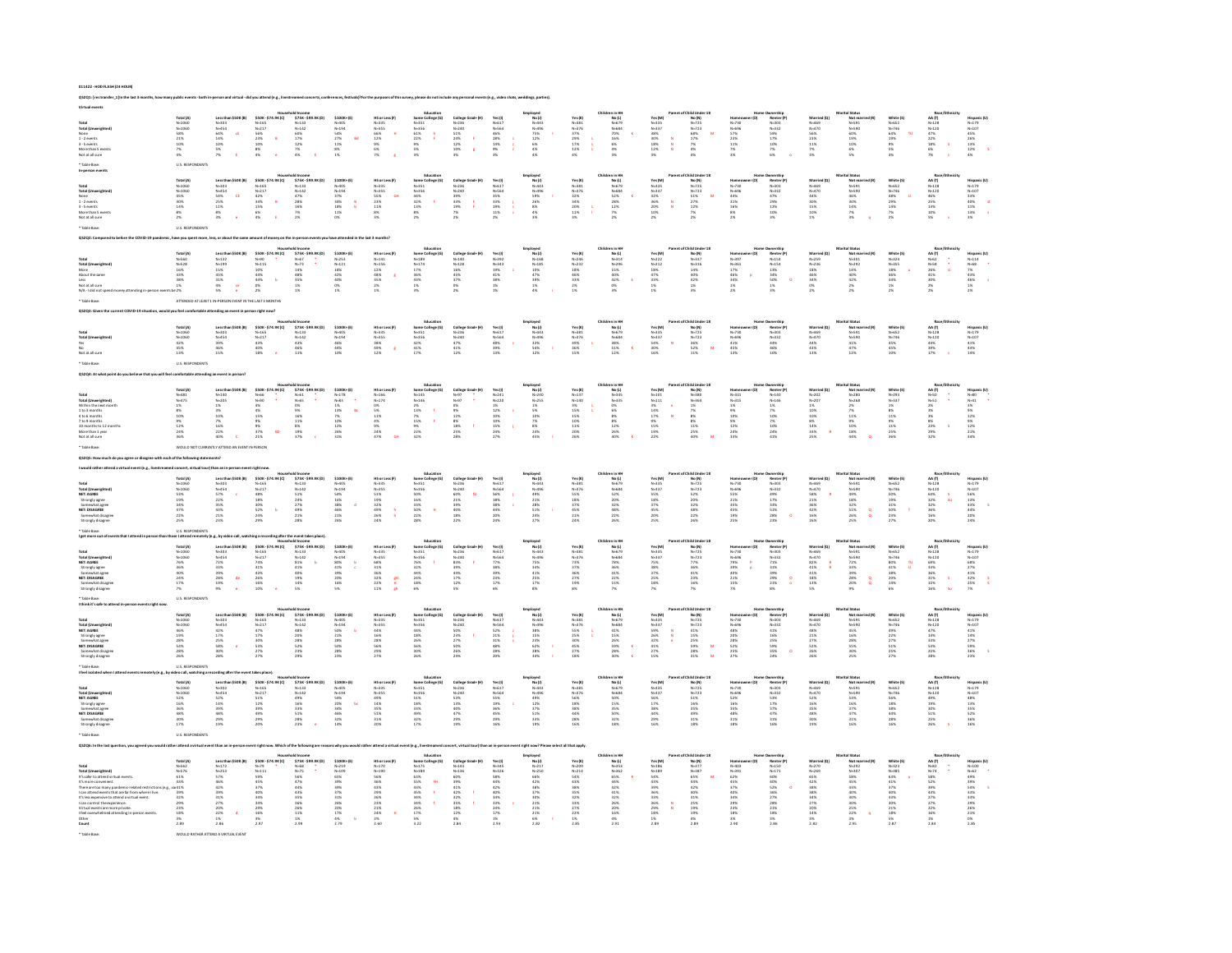| 011422 - HOD FLASH (24 HOUR) |  |
|------------------------------|--|
|                              |  |

\* Table Base: WOULD RATHER ATTEND A VIRTUAL EVENT

.<br>In thy how many public events-both in-person and virtual -did you attend (e.g., livestreamed concerts, conferences, festivals)?For the purposes of this survey, please do not include any personal events (e.g., video chats

| Total (Universident<br>None<br>1 - 2 events<br>3 - 5 events<br>More than 5 er                                                                                                                                                                                                                                                    | Total (A)<br>N=1060<br>N=1060<br>S8%<br>21%<br>21%<br>10%<br>7%                                          | Less than \$50 K (B)<br>N=303<br>N=454<br>64%<br>64%<br>10%<br>5%<br>5%<br>F                             | House<br>\$50K - \$74.9K (C)<br>N=165<br>N=217<br>\$6%<br>23%<br>8%<br>4%<br>4%                                                                                                                                                                                                                                                      | old Income<br>5758-599.9K(D)<br>N=133<br>N=142<br>60%<br>17%<br>12%<br>12%<br>4% E                                     | $5100K* (0)$<br>$N=405$<br>$N=194$<br>$54%$<br>$27%$<br>$11%$<br>$8%$<br>$1%$                         | HS or Less (P)<br>N=335<br>N=355<br>66%<br>12%<br>9%<br>6%<br>7%                                         | Education<br>Some College (G)<br>N=351<br>N=356<br>61%<br>22%<br>F<br>9%<br>5%<br>3%                                                                                                                                                 | College Grad+ (H)<br>N=236<br>N=240<br>S1% F<br>24% F<br>12% R<br>10% R                                                                                                                                                                                                                                                                                                                                                                                                 | Yes (I)<br>N=617<br>N=564<br>46%<br>28%<br>14%<br>9%<br>9%                        | oloyad<br>No (J)<br>N=443<br>N=496<br>75%<br>12%<br>6%<br>4%                                                                 | Yes (K)<br>N=381<br>N=376<br>37%<br>37%<br>12%<br>12%<br>12%                                                                                                                                                                                      | minim<br>No(L)<br>N=684<br>N=684<br>70%<br>16%<br>4%<br>4%                                                         | Yes (M)<br>N=335<br>N=337<br>38%<br>38%<br>18%<br>18%<br>18%                                                                                                                                                                                                                                   | Md Unover<br>Mo (N)<br>N=725<br>N=723<br>68%<br>17%<br>4%<br>4%                                                | Homeo<br>N-730<br>N-696<br>S7%<br>23%<br>11%<br>7%<br>N-8                       | Pumership<br>Renter (P<br>N=303<br>N=332<br>S9%<br>17%<br>10%<br>P%<br>6%               | Married (Q)<br>N=469<br>N=470<br>S6%<br>23%<br>11%<br>11%<br>7%                                     | al Status<br>Not ma<br>N=591<br>N=590<br>60%<br>19%<br>19%<br>6%<br>5%                               | White (\$)<br>N=652<br>N=746<br>64%<br>19%<br>9%<br>S%<br>S%                                     | Nacy<br>AA (T)<br>N=128<br>N=120<br>47%<br>22%<br>18%<br>6%<br>7%                                                                                                                                                  | Hispanic (U)<br>N=179<br>N=107<br>45%<br>26%<br>13%<br>12% \$                               |
|----------------------------------------------------------------------------------------------------------------------------------------------------------------------------------------------------------------------------------------------------------------------------------------------------------------------------------|----------------------------------------------------------------------------------------------------------|----------------------------------------------------------------------------------------------------------|--------------------------------------------------------------------------------------------------------------------------------------------------------------------------------------------------------------------------------------------------------------------------------------------------------------------------------------|------------------------------------------------------------------------------------------------------------------------|-------------------------------------------------------------------------------------------------------|----------------------------------------------------------------------------------------------------------|--------------------------------------------------------------------------------------------------------------------------------------------------------------------------------------------------------------------------------------|-------------------------------------------------------------------------------------------------------------------------------------------------------------------------------------------------------------------------------------------------------------------------------------------------------------------------------------------------------------------------------------------------------------------------------------------------------------------------|-----------------------------------------------------------------------------------|------------------------------------------------------------------------------------------------------------------------------|---------------------------------------------------------------------------------------------------------------------------------------------------------------------------------------------------------------------------------------------------|--------------------------------------------------------------------------------------------------------------------|------------------------------------------------------------------------------------------------------------------------------------------------------------------------------------------------------------------------------------------------------------------------------------------------|----------------------------------------------------------------------------------------------------------------|---------------------------------------------------------------------------------|-----------------------------------------------------------------------------------------|-----------------------------------------------------------------------------------------------------|------------------------------------------------------------------------------------------------------|--------------------------------------------------------------------------------------------------|--------------------------------------------------------------------------------------------------------------------------------------------------------------------------------------------------------------------|---------------------------------------------------------------------------------------------|
| lotal (L<br>Total (Unweighted<br>None<br>1 - 2 events<br>3 - 5 events<br>More than 5 event<br>Not at all sure                                                                                                                                                                                                                    | Total (A)<br>N=1060<br>N=1060<br>45%<br>30%<br>14%<br>8%<br>2%                                           | Less than \$50K (B)<br>N=303<br>N=454<br>S4% CE<br>25% CE<br>25%<br>8% e                                 | Mousi<br>SS08 - \$74.9K (C)<br>N=165<br>N=217<br>42%<br>34%<br>B<br>6%<br>4%<br>E                                                                                                                                                                                                                                                    | old Income<br>\$75K-\$99.9K(D)<br>N=133<br>N=142<br>47%<br>28%<br>16%<br>7%<br>2%                                      | $$100K+ [E]$<br>N=194<br>N=194<br>37%<br>34%<br>18%<br>18%<br>11%                                     | HS or Less (F)<br>N-335<br>N-355<br>S5% 6<br>S5% 4<br>11% 8%<br>3%                                       | $\begin{array}{r} \textbf{ &=} \textbf{function} \\ \textbf{Some Collegs (G)} \\ \textbf{N+351} \\ \textbf{N+356} \\ \textbf{44%} \\ \textbf{32%} \\ \textbf{33%} \\ \textbf{349} \\ \textbf{359} \\ \textbf{270} \end{array}$       | College Grad+ (H)<br>N=236<br>N=240<br>39%<br>33% F<br>19% F<br>7%<br>2%                                                                                                                                                                                                                                                                                                                                                                                                | Yes (I)<br>N=517<br>N=564<br>35%<br>33%<br>19%<br>11%                             | Employed<br>No. (1)<br>N=443<br>N=496<br>S9%<br>26%<br>26%<br>4%<br>4%                                                       | $\begin{array}{l} \mathbf{Yes}\left( \mathbf{K} \right) \\ \mathbf{N}{\rm{ = }}381 \\ \mathbf{N}{\rm{ = }}376 \\ \mathbf{32}\% \\ \mathbf{34}\% \\ \mathbf{20}\% \\ \mathbf{11}\% \\ \mathbf{12}\% \\ \mathbf{13}\% \\ \mathbf{14}\% \end{array}$ | Children in HH<br>Mo (L)<br>N=679<br>N=684<br>S2%<br>28%<br>28%<br>29%<br>29%                                      | Yes (M)<br>N=335<br>N=337<br>32%<br>36%<br>36%<br>20%<br>10%<br>2%                                                                                                                                                                                                                             | Parent of Child Under 18<br>Mo (N)<br>N-725<br>N-725<br>S1%<br>N 27%<br>N 22%<br>2%<br>2%                      | Homeov<br>N-730<br>N-696<br>44%<br>31%<br>31%<br>8%<br>2%                       | Numership<br>Renter (P)<br>N=303<br>N=332<br>47%<br>29%<br>12%<br>10%<br>10%            | Married (Q)<br>N=450<br>N=470<br>44%<br>30%<br>15%<br>15%<br>16%                                    | Not ma<br>Not ma<br>N-591<br>N-590<br>46%<br>30%<br>14%<br>7%                                        | White (S)<br>N=652<br>N=746<br>48%<br>29%<br>14%<br>14%<br>7%<br>2%                              | Race/Eth<br>AA (T)<br>$N=128$<br>$N=120$<br>$46\%$<br>$25\%$<br>$13\%$<br>$10\%$<br>5%                                                                                                                             | Hispanic (U)<br>N=179<br>N=107<br>N=107<br>33%<br>11%<br>13%<br>33%                         |
| rosal<br>Total (Unwei)<br>More<br>About the sar<br>Not at all sure                                                                                                                                                                                                                                                               | Total (A)<br>N-560<br>N-528<br>16%<br>18%<br>38%<br>38%<br>1%                                            | Less than \$50K (B)<br>N=132<br>N=199<br>15%<br>45%<br>45%<br>4%<br>21%<br>20%                           | $[0.133] \put(0.135){\line(1,0){15}} \put(0.135){\line(1,0){15}} \put(0.135){\line(1,0){15}} \put(0.135){\line(1,0){15}} \put(0.135){\line(1,0){15}} \put(0.135){\line(1,0){15}} \put(0.135){\line(1,0){15}} \put(0.135){\line(1,0){15}} \put(0.135){\line(1,0){15}} \put(0.135){\line(1,0){15}} \put(0.135){\line(1,0){15}} \put(0$ | old Income<br>\$75K-\$99.9K(D)<br>N=67<br>N=73<br>14%<br>48%<br>\$5%<br>1%<br>1%<br>1%                                 | $5100K*$ (E<br>$N=253$<br>$N=121$<br>$18%$<br>$42%$<br>$40%$<br>$0%$<br>$1%$                          | HSorLess <sup>(P)</sup><br>N-141<br>N-156<br>N-156<br>12%<br>48%<br>35%<br>2%<br>1%                      | Education<br>Some College (G)<br>N=1374<br>17%<br>18%<br>43%<br>1%<br>3%<br>3%                                                                                                                                                       | College Grad+(H)<br>N=140<br>N=128<br>16%<br>45%<br>S7%<br>S7%<br>2%                                                                                                                                                                                                                                                                                                                                                                                                    | Yes (I)<br>N=392<br>N=343<br>19%<br>41%<br>38%<br>1%<br>1%                        | Employed<br>No (J)<br>N=168<br>N=185<br>10%<br>47%<br>39%<br>1%<br>4%<br>4%                                                  | Yes (K)<br>N=246<br>N=232<br>18%<br>46%<br>33%<br>2%<br>1%                                                                                                                                                                                        | Children in Ht<br>mmmm<br>No (L)<br>N=314<br>N=296<br>15%<br>42%<br>42%<br>0%<br>3%                                | Yes (M)<br>N-222<br>N-212<br>N-212<br>183%<br>47%<br>33%<br>1%<br>1%                                                                                                                                                                                                                           | of Child Under 18<br>No (N)<br>No (N)<br>N=337<br>N=316<br>14%<br>42%<br>42%<br>1%<br>3%                       | Homeov<br>N-397<br>N-361<br>17%<br>46%<br>34%<br>34%<br>1%<br>1%                | Numership<br>Renter (P)<br>N=154<br>N=154<br>3%<br>SO%<br>1%<br>SO%                     | Married (Q)<br>N=259<br>N=236<br>18%<br>46%<br>46%<br>34%<br>O%<br>2%                               | Marital Statu<br>Mi Scatus<br>Not marr<br>N=301<br>N=292<br>14%<br>42%<br>2%<br>2%                   | White (\$)<br>N=324<br>N=355<br>18%<br>46%<br>46%<br>34%<br>1%<br>1%                             | Race/Eth<br>AA (T)<br>$N=62$<br>$N=58$<br>$26%$<br>$41%$<br>$30%$<br>$2%$                                                                                                                                          | Hispanic (U)<br>N=114<br>N=58<br>7%<br>43%<br>45%<br>1%<br>1%<br>2%                         |
|                                                                                                                                                                                                                                                                                                                                  | 10ta (A)<br>N=1060<br>N=1060<br>42%<br>45%<br>13%<br>U.S. RESPONDENTS                                    | Less the<br>N=303<br>N=454<br>39%<br>46%<br>15%                                                          | \$50K-\$74.9K(C)<br>550K-3<br>N-165<br>N-217<br>43%<br>40%<br>18%                                                                                                                                                                                                                                                                    | old Income<br>  \$75K - \$99.9K (D)<br>  N=133<br>  N=142<br>  43%<br>  46%<br>  11%                                   | $$100K*$ (E)<br>N=405<br>N=194<br>46%<br>44%<br>44%                                                   | HS or Less (F)<br>N=335<br>N=355<br>38%<br>49% 8<br>12% 8                                                | Education<br>Some College (G)<br>N=351<br>N=356<br>42%<br>41%<br>17%                                                                                                                                                                 | College Grad+(H)<br>N=236<br>N=240<br>47%<br>41%<br>41%                                                                                                                                                                                                                                                                                                                                                                                                                 | Yes (I)<br>N=617<br>N=564<br>48%<br>39%<br>13%                                    | $\begin{array}{c} \text{Employee} \\ \text{No} \; (l) \\ \text{No=443} \\ \text{No=496} \\ 33\% \\ 54\% \\ 12\% \end{array}$ | Yes (K)<br>N=381<br>N=376<br>49%<br>36%<br>36%                                                                                                                                                                                                    | Children in HH<br>Mo (L)<br>N=679<br>N=684<br>38%<br>51%<br>12%                                                    | Yes (M)<br>N=335<br>N=337<br>S4%<br>30%<br>30%                                                                                                                                                                                                                                                 | t of Child Under 18<br>Mo (N)<br>N-725<br>N-723<br>36%<br>52%<br>11%                                           | Homeov<br>N=730<br>N=696<br>41%<br>45%<br>45%                                   | Pamerstop<br>Renter (P)<br>N=303<br>A4%<br>46%<br>46%<br>10%                            | Married (Q)<br>N=469<br>N=470<br>44%<br>43%<br>43%                                                  | <b>Aarital Statu</b><br>Not married (R)<br>N=591<br>N=590<br>41%<br>47%<br>42%                       | White (S)<br>N=652<br>N=746<br>45%<br>45%<br>45%                                                 | Race/Éthni<br>AA (T)<br>N=128<br>N=120<br>44%<br>39%<br>17%                                                                                                                                                        | Hispanic (U)<br>N=179<br>N=107<br>41%<br>44%<br>14%                                         |
| Total<br>Within the next month<br>Within the next month<br>4 to 5 months<br>7 to 9 months<br>10 months to 12 months<br>10 months to 12 months<br>10 months to 12 months<br>fore than 1 yea                                                                                                                                       | Total (A)<br>N=481<br>N=475<br>1%<br>3%<br>10%<br>10%<br>12%<br>24%<br>24%                               | Less than \$50K (B)<br>N=140<br>N=205<br>N=6<br>3%<br>16%<br>16%<br>22%<br>20%<br>20%                    | House<br>N=66<br>N=66<br>N=90<br>4%<br>4%<br>15%<br>9%<br>9%<br>9%<br>8D<br>21%                                                                                                                                                                                                                                                      | old Income<br>\$758-\$99.9K(D)<br>N-61<br>N-65<br>N%<br>N%<br>19%<br>19%<br>\$%<br>\$%<br>\$%                          | $5100K*$ (E)<br>$N=178$<br>$N=83$<br>$1\%$<br>$13\%$<br>$7\%$<br>$10\%$<br>$12\%$<br>$26\%$<br>$31\%$ | HSorLess <sup>(p</sup> )<br>N=166<br>N=174<br>0%<br>S%<br>1%<br>1%<br>24%<br>24%<br>27%                  | Education<br>Some College (G)<br>N-145<br>2%<br>13%<br>15%<br>F%<br>22%<br>22%<br>22%<br>22%                                                                                                                                         | $\begin{array}{ll} \textbf{Collinge Grand+ (H)} & \textbf{ } & \textbf{ } \textbf{ } \\ \textbf{N=97} & \textbf{ } & \textbf{ } \textbf{ } \textbf{ } \\ \textbf{N=97} & \textbf{ } & \textbf{ } \textbf{ } \textbf{ } \\ \textbf{0} & \textbf{S} & \textbf{ } & \textbf{ } \\ \textbf{0} & \textbf{S} & \textbf{ } & \textbf{ } \textbf{ } \\ \textbf{128} & \textbf{8} & \textbf{ } & \textbf{ } \textbf{ } \\ \textbf{258} & \textbf{258} & \textbf{ } & \textbf{ }$ | Yes (1)<br>N=241<br>N=220<br>1%<br>12%<br>10%<br>15%<br>24%<br>27%                | Employed<br>Mo(J)<br>N=240<br>N=255<br>1%<br>S%<br>10%<br>2%<br>2%<br>24%<br>24%<br>45%                                      | Yes (K)<br>N=137<br>N=140<br>3%<br>15%<br>15%<br>10%<br>11%<br>20%<br>26%                                                                                                                                                                         | Children in Ht<br>No (L)<br>N=335<br>N=335<br>O%<br>6%<br>6%<br>8%<br>2%<br>2%<br>26%<br>40%                       | Yes (M)<br>N=101<br>N=111<br>3%<br>14%<br>17%<br>17%<br>15%<br>19%<br>22%                                                                                                                                                                                                                      | of Child Under 18<br>No (N)<br>N-360<br>N-364<br>N-364<br>1%<br>25%<br>8%<br>11%<br>25%<br>40%                 | Homeon<br>N=331<br>N=315<br>N=515<br>12%<br>12%<br>12%<br>24%<br>24%            | Dumership<br>Renter (P)<br>N-146<br>N-146<br>1%<br>2%<br>10%<br>2%<br>10%<br>24%<br>41% | Married (Q)<br>N=202<br>N=207<br>1%<br>10%<br>10%<br>8%<br>14%<br>33%<br>34%<br>25%                 | Marital Status<br>Mot marris<br>N=280<br>N=268<br>N=268<br>2%<br>2%<br>11%<br>10%<br>10%<br>44%<br>Q | White (\$)<br>N=293<br>N=337<br>1%<br>3%<br>11%<br>11%<br>25%<br>36%                             | Race/Ethe<br>AA (T)<br>$N = 50$<br>$N = 51$<br>$2\%$<br>$3\%$<br>$3\%$<br>$2\%$<br>$2\%$                                                                                                                           | Hispanic (U)<br>N = 0<br>N = 0<br>3 %<br>3 %<br>1 2 %<br>1 %<br>1 %<br>2 %<br>2 %           |
|                                                                                                                                                                                                                                                                                                                                  |                                                                                                          |                                                                                                          |                                                                                                                                                                                                                                                                                                                                      |                                                                                                                        |                                                                                                       |                                                                                                          |                                                                                                                                                                                                                                      |                                                                                                                                                                                                                                                                                                                                                                                                                                                                         |                                                                                   |                                                                                                                              |                                                                                                                                                                                                                                                   |                                                                                                                    |                                                                                                                                                                                                                                                                                                |                                                                                                                |                                                                                 |                                                                                         |                                                                                                     |                                                                                                      |                                                                                                  |                                                                                                                                                                                                                    |                                                                                             |
|                                                                                                                                                                                                                                                                                                                                  |                                                                                                          |                                                                                                          |                                                                                                                                                                                                                                                                                                                                      |                                                                                                                        |                                                                                                       |                                                                                                          |                                                                                                                                                                                                                                      |                                                                                                                                                                                                                                                                                                                                                                                                                                                                         |                                                                                   |                                                                                                                              |                                                                                                                                                                                                                                                   |                                                                                                                    |                                                                                                                                                                                                                                                                                                | of Child Under 1                                                                                               |                                                                                 |                                                                                         |                                                                                                     |                                                                                                      |                                                                                                  |                                                                                                                                                                                                                    |                                                                                             |
| Total<br><b>NET: AGREE</b><br>NET: AGREE<br>Strongly agree<br>Somewhat agree<br>NET: DISAGREE<br>Somewhat disagree<br>Strongly disagrees                                                                                                                                                                                         | Total (A)<br>N-1060<br>N-1060<br>N-1060<br>S3%<br>19%<br>22%<br>22%<br>22%                               | Less tha<br>N=303<br>N=454<br>S7%<br>22%<br>23%<br>21%<br>23%                                            | House<br>$$10045$<br>$N=165$<br>$N=217$<br>$48%$<br>$18%$<br>$20%$<br>$24%$<br>$29%$                                                                                                                                                                                                                                                 | old Income<br>\$75K - \$99.9K (D)<br>N=133<br>N=142<br>51%<br>24%<br>29%<br>21%<br>21%                                 | $$100K*$<br>N=405<br>N=194<br>S4%<br>S4%<br>16%<br>38%<br>46%<br>21%                                  | HS or Less (F)<br>N=335<br>N=355<br>S1%<br>19%<br>32%<br>49%<br>26%<br>24%                               | Education<br>Some College (6)<br>N=354<br>N=356<br>S0%<br>13%<br>23%<br>22%<br>22%<br>22%                                                                                                                                            | college<br>N=236<br>N=240<br>60%<br>21%<br>39%<br>40%<br>18%<br>22%                                                                                                                                                                                                                                                                                                                                                                                                     | Yes (1)<br>N=617<br>N=564<br>S6%<br>S6%<br>18%<br>38%<br>44%<br>20%<br>24%        | Employed<br>No.(J)<br>N=443<br>N=496<br>49%<br>21%<br>28%<br>S1%<br>24%<br>27%                                               | Yes (K)<br>N=381<br>N=376<br>S5%<br>S5%<br>37%<br>45%<br>21%<br>24%                                                                                                                                                                               | No (L)<br>N=675<br>N=684<br>S2%<br>20%<br>32%<br>48%<br>22%<br>26%                                                 | Yes (M)<br>N=335<br>N=337<br>S5%<br>18%<br>37%<br>45%<br>20%<br>25%                                                                                                                                                                                                                            | ild Unde<br>Mo (N)<br>N=725<br>시=723<br>S2%<br>20%<br>32%<br>48%<br>22%<br>26%                                 | N-730<br>N-696<br>SS%<br>SS%<br>35%<br>45%<br>45%<br>19%                        | Numership<br>Renter  <br>N=303<br>A9%<br>49%<br>17%<br>33%<br>28%<br>28%                | Married (Q<br>N=460<br>N=470<br>S8%<br>21%<br>21%<br>42%<br>42%<br>16%                              | Not ma<br>N-591<br>N-590<br>N-590<br>49%<br>18%<br>18%<br>25%<br>25%                                 | White (S<br>N=652<br>N=746<br>S0%<br>19%<br>31%<br>S0%<br>23%<br>23%                             | Race<br>AA (T)<br>N=128<br>N=120<br>64%<br>32%<br>36%<br>36%<br>16%<br>20%                                                                                                                                         | Hispanic (1<br>14-179<br>14-107<br>13%<br>13%<br>43%<br>20%<br>20%                          |
| Total<br>Total (Unweighted<br>NET: AGREE<br>Strongly agree<br>Somewhat agree<br>NET: DISAGREE<br>Somewhat disagree<br>Strongly disagree                                                                                                                                                                                          | Total (A)<br>N-1060<br>N-1060<br>N-1060<br>76%<br>36%<br>40%<br>24%<br>17%                               | Less than \$50K (B)<br>N=303<br>N=454<br>22%<br>33%<br>39%<br>28% de<br>19% e                            | House<br>950K-\$74.9K(C)<br>N-165<br>14%<br>31%<br>48%<br>48%<br>48%<br>10%<br>e                                                                                                                                                                                                                                                     | e event takes place)<br>old income<br>575K - 599.9K (D)<br>N=133<br>N=142<br>N=156<br>40%<br>40%<br>19%<br>1446<br>19% | $5100K* [8$<br>$N=194$<br>$80%$<br>$41%$<br>$39%$<br>$20%$<br>$16%$<br>$5%$                           | HS or Less (F)<br>N=335<br>N=355<br>68%<br>31%<br>36%<br>32% 6<br>22% 11% 6<br>en<br>H                   | $\begin{array}{r} \text{fiducation} \\ \text{Some College (6)} \\ \text{N-351} \\ \text{N-356} \\ \text{N-356} \\ \text{N-32\%} \\ \text{32\%} \\ \text{44\%} \\ \text{24\%} \\ \text{24\%} \\ \text{5\%} \\ \text{6\%} \end{array}$ | College<br>N=236<br>N=240<br>83%<br>39%<br>44%<br>47%<br>17%<br>12%                                                                                                                                                                                                                                                                                                                                                                                                     | Ves (1)<br>N=617<br>N=564<br>77%<br>38%<br>23%<br>23%<br>17%<br>6%                | imployed<br>No.(J)<br>N=43<br>N=496<br>75%<br>34%<br>41%<br>25%<br>17%<br>8%                                                 | Yes (K)<br>N=381<br>N=376<br>73%<br>37%<br>36%<br>27%<br>19%<br>8%                                                                                                                                                                                | Children in HH<br>No (L)<br>N=679<br>N=684<br>78%<br>36%<br>41%<br>41%<br>22%<br>15%                               | Yes (M)<br>N=335<br>N=337<br>N=337<br>33%<br>37%<br>25%<br>18%<br>7%                                                                                                                                                                                                                           | of Child Line<br>$N = 725$<br>$N = 723$<br>$N = 723$<br>$N = 723$<br>$N = 1636$<br>$N = 1636$                  | Homeo<br>N-730<br>N-696<br>79%<br>39%<br>40%<br>21%<br>15%<br>7%                | Dwnership<br>Renter (P<br>N=332<br>N=332<br>21%<br>31%<br>29%<br>29%<br>21%             | Married (Q)<br>N=469<br>82%<br>82%<br>41%<br>41%<br>18%<br>18%<br>5%                                | arital Status<br>Not man<br>N=591<br>N=590<br>22%<br>33%<br>28%<br>28%<br>20%                        | White (5<br>N=652<br>N=746<br>80%<br>41%<br>38%<br>20%<br>14%<br>6%                              | Race/Eth<br>AA (T)<br>N=128<br>N=120<br>S3%<br>36%<br>36%<br>31%<br>15%<br>16%                                                                                                                                     | Hispanic (U)<br>N=179<br>N=107<br>N=107<br>S2%<br>41%<br>32%<br>25%<br>25%                  |
| <b>Total (Unweighted)<br/>NET: AGREE<br/>Strongly agree<br/>Somewhat agree</b><br>NET: DISAGREE<br>Somewhat disagree<br>Strongly disagree                                                                                                                                                                                        | Total (A)<br>N=1060<br>N=1060<br>N=1060<br>46%<br>28%<br>28%<br>28%<br>26%                               | Less than \$50K (B)<br>N=303<br>N=454<br>42%<br>17%<br>18%<br>S8% e<br>30%<br>28%                        | Housi<br>930K - 974.9K (C)<br>N+165<br>N+217<br>47%<br>17%<br>27%<br>27%<br>27%                                                                                                                                                                                                                                                      | old Income<br>\$75K-\$99.9K (D)<br>N=133<br>N=142<br>AB%<br>20%<br>20%<br>22%<br>23%<br>23%                            | \$100K+(E)<br>N=405<br>N=194<br>SO%<br>21%<br>28%<br>SO%<br>28%<br>23%                                | HS or Less (F)<br>N=335<br>N=355<br>44%<br>16%<br>28%<br>S6%<br>29%<br>27%                               | Education<br>Some College (G)<br>N=351<br>N=356<br>44%<br>18%<br>S6%<br>S6%<br>26%<br>26%                                                                                                                                            | College Gr<br>N=236<br>N=240<br>SO%<br>23%<br>27%<br>SO%<br>26%<br>24%                                                                                                                                                                                                                                                                                                                                                                                                  | Yes (1)<br>N=617<br>N=564<br>S2%<br>21%<br>31%<br>48%<br>28%<br>28%               | Employed<br>No.(J)<br>N=443<br>N=496<br>38%<br>15%<br>23%<br>22%<br>22%<br>24%                                               | Yes (K)<br>N=381<br>N=376<br>S5%<br>S5%<br>25%<br>45%<br>27%<br>18%                                                                                                                                                                               | Children in Ht<br>nin HH<br>No (L)<br>N=624<br>N=684<br>41%<br>15%<br>26%<br>28%<br>28%<br>28%                     | Yes (M)<br>N=335<br>N=337<br>N=337<br>S9%<br>26%<br>27%<br>41%<br>27%<br>15%                                                                                                                                                                                                                   | f Child Under 18<br>No (N)<br>N=725<br>N=723<br>41%<br>15%<br>15%<br>26%<br>28%<br>28%<br>28%                  | Homeov<br>N-730<br>N-696<br>48%<br>20%<br>28%<br>27%<br>27%                     | Dwnership<br>Renter (P<br>N=303<br>N=332<br>41%<br>16%<br>25%<br>S9%<br>35%<br>24%      | Married (Q)<br>N=469<br>48%<br>21%<br>27%<br>S2%<br>S2%<br>26%                                      | arital Statu<br>Not ma<br>N=591<br>N=590<br>N=5%<br>45%<br>16%<br>S5%<br>30%<br>25%                  | White (S<br>N=652<br>N=746<br>49%<br>22%<br>27%<br>S1%<br>25%<br>25%                             | Race/Ethr<br>AA (T)<br>$N=128$<br>$N=120$<br>$47%$<br>$43%$<br>$33%$<br>$25%$<br>$25%$                                                                                                                             | Hispanic (U)<br>N=179<br>N=107<br>41%<br>14%<br>27%<br>S9%<br>S9%<br>36%                    |
| Total<br>Total (Unweighted)<br>NET: AGREE<br>Strongly agree<br>Somewhat agree<br>NET: DISAGREE<br>Somewhat disagre<br>Strongly disagree                                                                                                                                                                                          | Total (A)<br>N=1060<br>N=1060<br>S2%<br>16%<br>16%<br>30%<br>48%<br>30%<br>17%                           | Less than \$50K (B)<br>N=303<br>N=454<br>S2%<br>14%<br>39%<br>29%<br>29%                                 | House<br>\$500K-\$74.9K(C)<br>N=165<br>51%<br>52%<br>42%<br>49%<br>20%<br>20%                                                                                                                                                                                                                                                        | old Income<br>\$75K-\$99.9K(D)<br>N-133<br>N-142<br>49%<br>16%<br>18%<br>28%<br>28%<br>28%<br>28%                      | \$100K* (E)<br>N=405<br>N=194<br>S4%<br>S4%<br>32%<br>46%<br>32%<br>14%                               | HS or Less (F)<br>N=335<br>N=355<br>49%<br>14%<br>35%<br>S1%<br>31%<br>31%<br>20%                        | Education<br>Some College (G)<br>N=356<br>N=356<br>53%<br>33%<br>49%<br>32%<br>22%<br>17%                                                                                                                                            | College Grad+ (M)<br>N=236<br>N=240<br>S3%<br>13%<br>40%<br>42%<br>29%<br>29%                                                                                                                                                                                                                                                                                                                                                                                           | Yes (1)<br>N=617<br>N=564<br>S5%<br>S6%<br>S6%<br>A5%<br>29%<br>16%               | Employed<br>No (J)<br>N=43<br>N=496<br>49%<br>12%<br>12%<br>S1%<br>S1%<br>19%                                                | Yes (K)<br>N=381<br>N=376<br>S6%<br>S6%<br>38%<br>44%<br>28%<br>28%<br>16%                                                                                                                                                                        | Children in HH<br>No (L)<br>N−679<br>N−684<br>S9%<br>S9%<br>S9%<br>S9%<br>S9%<br>S9%<br>S9%<br>S8%<br>S8%          | Yes (M)<br>N=335<br>N=337<br>N=337<br>S6%<br>17%<br>44%<br>29%<br>16%                                                                                                                                                                                                                          | Parent of Child Under 18<br>No (N)<br>N-725<br>N-725<br>N-725<br>S1%<br>16%<br>35%<br>31%<br>31%<br>18%<br>18% | Homeo<br>N=730<br>N=696<br>S2%<br>S2%<br>S6%<br>S5%<br>S5%<br>S5%<br>S5%<br>S5% | Demorship<br>Renter (P)<br>N=303<br>N=332<br>S3%<br>S7%<br>S7%<br>A7%<br>S1%<br>S1%     | Married (Q)<br>N=469<br>N=470<br>S2%<br>S6%<br>S6%<br>S6%<br>S6%<br>S6%<br>S6%<br>S6%               | Marital Status<br>Mot marri<br>N=591<br>N=590<br>S3%<br>S3%<br>47%<br>47%<br>31%<br>31%<br>16%       | White (S)<br>N=652<br>N=746<br>56%<br>18%<br>38%<br>44%<br>28%<br>16%                            | $\begin{array}{ll} \textbf{Race/Ethr} \\ \textbf{AA(T)} \\ \textbf{N}{=}128 \\ \textbf{N}{=}120 \\ \textbf{49\%} \\ \textbf{19\%} \\ \textbf{19\%} \\ \textbf{51\%} \\ \textbf{25\%} \\ \textbf{26\%} \end{array}$ | Hispanic (U)<br>N=179<br>N=107<br>48%<br>13%<br>S2%<br>S2%<br>S2%<br>S6%<br>16%             |
|                                                                                                                                                                                                                                                                                                                                  |                                                                                                          |                                                                                                          |                                                                                                                                                                                                                                                                                                                                      |                                                                                                                        |                                                                                                       |                                                                                                          |                                                                                                                                                                                                                                      |                                                                                                                                                                                                                                                                                                                                                                                                                                                                         |                                                                                   |                                                                                                                              |                                                                                                                                                                                                                                                   |                                                                                                                    |                                                                                                                                                                                                                                                                                                |                                                                                                                |                                                                                 |                                                                                         |                                                                                                     |                                                                                                      |                                                                                                  |                                                                                                                                                                                                                    |                                                                                             |
| Total<br>Total (Unweighted)<br>It's safer to attend virtual ever<br>It's more conv<br>There are too many pandent<br>ic-related restrictions of the control of the control of the Taylor It's<br>its assume that are far from where it's less expensive to attend a virtual event.<br>I can control the seperience.<br>Writial ev | Total (A)<br>N=562<br>N=576<br>61%<br>43%<br>a 41%<br>39%<br>32%<br>32%<br>23%<br>23%<br>18%<br>3%<br>3% | Less than<br>N=172<br>S7%<br>N=253<br>S7%<br>46%<br>31%<br>27%<br>27%<br>27%<br>27%<br>22%<br>22%<br>22% | Housi<br>$N+79$<br>$N+711$<br>$N+111$<br>$N+39$<br>$45%$<br>$45%$<br>$44%$<br>$24%$<br>$24%$<br>$24%$<br>$24%$<br>$25%$<br>$2.97$                                                                                                                                                                                                    | dd Income<br>\$73% - 399.39.9<br>N=58<br>*<br>47%<br>47%<br>47%<br>42%<br>2.9%<br>2.6%<br>2.5%<br>2.5%<br>2.1%         | \$100K* (8<br>N=219<br>N=109<br>65%<br>39%<br>39%<br>37%<br>31%<br>20%<br>20%<br>4%<br>279            | HS or Less (F)<br>N=170<br>N=190<br>S 6%<br>S 6%<br>36%<br>29%<br>29%<br>24%<br>24%<br>24%<br>24%<br>260 | を、*****<br>5come College (8)<br>M-1759<br>63% PH<br>63% PH<br>43% F<br>43% F<br>43% F<br>20% T<br>20% T<br>20% T<br>3.22                                                                                                             | College G<br>N=143<br>60%<br>S3%<br>%<br>42%<br>42%<br>32%<br>12%<br>12%<br>12%<br>42%<br>2.84<br>                                                                                                                                                                                                                                                                                                                                                                      | Ves (1)<br>N-345<br>N-326<br>SB%<br>44%<br>42%<br>34%<br>24%<br>17%<br>12%<br>24% | ployed<br>No(J)<br>N=217<br>N=250<br>SS%<br>SS%<br>21%<br>21%<br>21%<br>21%<br>21%                                           |                                                                                                                                                                                                                                                   | Nildren in HH<br>Mo (L)<br>N=353<br>N=362<br>N=562<br>44%<br>44%<br>44%<br>22%<br>26%<br>16%<br>46%<br>44%<br>2.91 | $\begin{array}{r} \textbf{Yes (M)} \\ \textbf{N-186} \\ \textbf{S4\%} \\ \textbf{54\%} \\ \textbf{43\%} \\ \textbf{39\%} \\ \textbf{38\%} \\ \textbf{39\%} \\ \textbf{38\%} \\ \textbf{39\%} \\ \textbf{29\%} \\ \textbf{18\%} \\ \textbf{19\%} \\ \textbf{18\%} \\ \textbf{2.89} \end{array}$ | of Child Under 18<br>No (N)<br>N-377<br>S5% 44% % 42% 44%<br>S5% 44% % 125% 45%<br>19% 45% 25%                 |                                                                                 | Renter (F<br>N-171<br>60% %<br>40% %<br>52% %<br>28% 27% %<br>28% 21% %<br>28% 21% %    | Married (Q)<br>N-270<br>N-269<br>SSK<br>42%<br>SSK<br>34%<br>27%<br>20%<br>27%<br>20%<br>28%<br>282 | <b>Larital Statu</b>                                                                                 | White (S<br>N-323<br>N-385<br>63%<br>63%<br>41%<br>37%<br>30%<br>21%<br>21%<br>21%<br>25%<br>28% | Race/Etl<br>AA (T)<br>N=22<br>N=24<br>S2%<br>S2%<br>22%<br>22%<br>22%<br>22%<br>22%<br>22%<br>22%                                                                                                                  | Hispanic (U)<br>N=52<br>49%<br>S4%<br>S3%<br>S3%<br>33%<br>29%<br>26%<br>26%<br>21%<br>2.85 |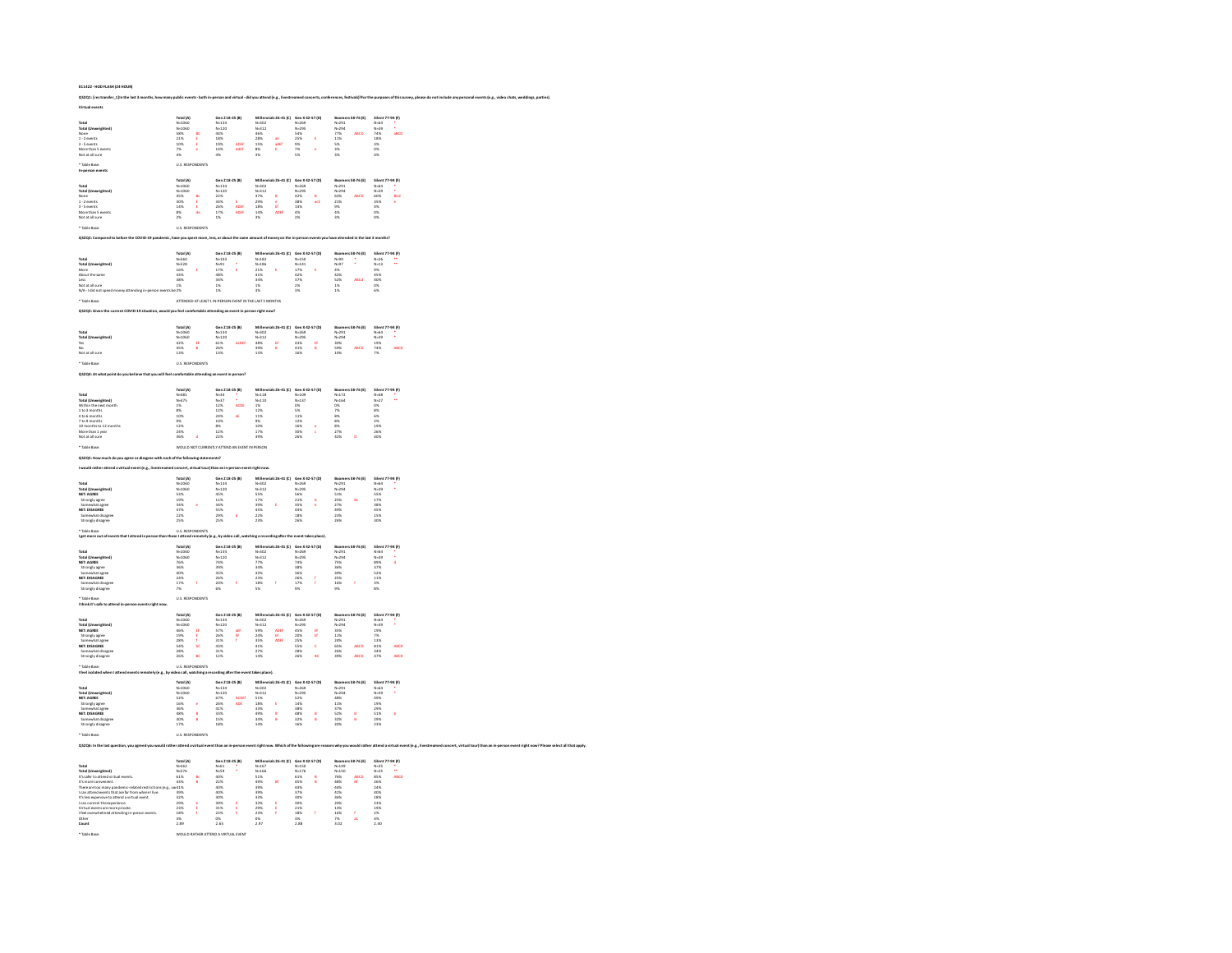| QS2Q1: [restransfer_1] in the last 3 months, how many public events - both in-person and virtual - did you attend (e.g., livestreamed concerts, conferences, festivals)? For the purp          |                                                                                    |                                                              |                                                                    |                                                              |                                                                             |                                                                                   |
|------------------------------------------------------------------------------------------------------------------------------------------------------------------------------------------------|------------------------------------------------------------------------------------|--------------------------------------------------------------|--------------------------------------------------------------------|--------------------------------------------------------------|-----------------------------------------------------------------------------|-----------------------------------------------------------------------------------|
| <b>Virtual events</b>                                                                                                                                                                          |                                                                                    |                                                              |                                                                    |                                                              |                                                                             |                                                                                   |
|                                                                                                                                                                                                |                                                                                    |                                                              | als 26-41 (C)                                                      |                                                              | rs 58-76 (E)                                                                | 77-94 (F)                                                                         |
| Total<br>Total (Unweighted)                                                                                                                                                                    |                                                                                    |                                                              |                                                                    |                                                              |                                                                             | Silent<br>N=64<br>N=39<br>74%                                                     |
| None<br>1 - 2 events                                                                                                                                                                           | Total (A)<br>N=1060<br>N=1060<br>S8%<br>21%                                        | Gen 218-25 (B)<br>N=134<br>N=120<br>44%<br>18%               | Millen<br>N=302<br>N=312<br>46%<br>28%<br>15%                      | Gen X 42-57 (D)<br>N=269<br>N=295<br>S4%<br>25% E            | Booms<br>N=291<br>N=294<br>77%<br>11%<br>ABCD                               | abCC<br>18%                                                                       |
| 3 - 5 events<br>More than 5 events                                                                                                                                                             | 10%<br>E                                                                           | 19%<br>ADER<br>14%<br>AdER                                   | adEf<br>E                                                          | 9%<br>7%<br>5%<br>ż                                          | 5%<br>3%                                                                    | 3%                                                                                |
| Not at all sure                                                                                                                                                                                | 7%<br>4%                                                                           | 4%                                                           | 8%<br>3%                                                           |                                                              | 3%                                                                          | $0\%$<br>4%                                                                       |
| * Table Base:                                                                                                                                                                                  | <b>U.S. RESPONDENTS</b>                                                            |                                                              |                                                                    |                                                              |                                                                             |                                                                                   |
| In-person events                                                                                                                                                                               |                                                                                    |                                                              |                                                                    |                                                              |                                                                             |                                                                                   |
|                                                                                                                                                                                                | Total (A)<br>N=1060<br>N=1060<br>45%                                               | Gen 218-25 (b)<br>N=134<br>N=120<br>22%                      | Mille<br>als 26-41 (C)                                             | Gen X 42-57 (D)<br>N=269<br>N=295<br>42% B                   | Boomers 58-76 (E)                                                           | Silent 77-94 (F)                                                                  |
| Total<br>Total (Unweighted)<br>None                                                                                                                                                            |                                                                                    |                                                              |                                                                    |                                                              | N=291<br>N=291<br>63%                                                       | Silent<br>N=64<br>N=39<br>N=39<br>60%<br>35%<br>eca                               |
| $1 - 2$ events<br>3 - 5 events                                                                                                                                                                 | 30%<br>ε<br>14%                                                                    | 34%<br>ADER<br>26%                                           | Millen<br>N=302<br>N=312<br>37%<br>29%<br>18%<br>å                 | 38%<br>acE<br>14%                                            | 21%                                                                         | 4%                                                                                |
| More than 5 events<br>Not at all sure                                                                                                                                                          | $\frac{8\%}{2\%}$                                                                  | 17%<br>ADER<br>$1\%$                                         | 14%<br>ADR<br>$\frac{1}{2}$                                        | 4%<br>$2\%$                                                  | 9%<br>4%<br>3%                                                              | 0%<br>$0\%$                                                                       |
| * Table Base                                                                                                                                                                                   | <b>U.S. RESPONDENTS</b>                                                            |                                                              |                                                                    |                                                              |                                                                             |                                                                                   |
|                                                                                                                                                                                                |                                                                                    |                                                              |                                                                    |                                                              |                                                                             |                                                                                   |
| QS2Q2: Co<br>npared to before the COVID-19 par                                                                                                                                                 |                                                                                    | e, less, or about the sar                                    |                                                                    |                                                              | unt of money on the in-person events you have attended in the last 3 months |                                                                                   |
|                                                                                                                                                                                                | Total (A)                                                                          | Gen Z18-25 (B)                                               | Millennials 26-41 (C)                                              | Gen X 42-57 (D)                                              | Boomers 58-76 (E)                                                           | Silent 77-94 (F)                                                                  |
| Total                                                                                                                                                                                          | N=560<br>N=528                                                                     | $N - 103$                                                    | $N - 182$<br>$N - 186$                                             |                                                              | $N=99$<br>$N=97$<br>$4%$                                                    | $N - 26$<br>$N-13$                                                                |
|                                                                                                                                                                                                | 16%                                                                                |                                                              |                                                                    |                                                              | 47%                                                                         |                                                                                   |
| Total<br>Total (Unweighted)<br>More<br>About the same<br>Less<br>Not at all sure<br>N/A - I did not spend                                                                                      | $43%$<br>$38%$<br>$38%$<br>$1%$<br>$2%$                                            | N-101<br>N-91<br>17%<br>48%<br>34%<br>1%<br>1%               | 21%<br>41%<br>34%<br>1%<br>3%                                      | uen A =<br>N=141<br>17%<br>42%<br>37%<br>2%<br>3%            | 42%<br>52%<br>1%<br><b>MOV</b>                                              | N=12<br>9%<br>45%<br>40%<br>6%<br>6%                                              |
|                                                                                                                                                                                                |                                                                                    |                                                              |                                                                    |                                                              |                                                                             |                                                                                   |
|                                                                                                                                                                                                | ATTENDED AT LEAST 1 IN-PERSON EVENT IN THE LAST 3 MONTHS                           |                                                              |                                                                    |                                                              |                                                                             |                                                                                   |
| QS2Q3: Given the current COVID-19 situation, would you feel co                                                                                                                                 |                                                                                    | le attending an event in person right now                    |                                                                    |                                                              |                                                                             |                                                                                   |
|                                                                                                                                                                                                |                                                                                    |                                                              |                                                                    |                                                              |                                                                             |                                                                                   |
|                                                                                                                                                                                                | Total (A)                                                                          | Gen Z18-25 (B)                                               | als 26-41 (C)<br>Mille                                             | Gen X 42-57 (D)                                              | Boomers 58-76 (E)<br>$N - 291$                                              | Silent 77-94 (F)                                                                  |
| hted)                                                                                                                                                                                          | ø                                                                                  |                                                              |                                                                    | EF                                                           |                                                                             |                                                                                   |
| Total<br>Total (Unweig<br>Yes<br>No<br>Not at all sure                                                                                                                                         | Total (A)<br>N=1060<br>N=1060<br>42%<br>45%<br>13%                                 | N=134<br>N=134<br>61%<br>26%<br>13%                          | N=302<br>N=302<br>48%<br>39%<br>13%<br>EF<br>8                     | uen A+<br>N=269<br>N=295<br>43%<br>41%<br>16%<br>B           | N=291<br>N=294<br>30%<br>59%<br>10%                                         | N=64<br>N=64<br>N=39<br>19%<br>74%<br>7%<br>ABCD                                  |
| * Table Base:                                                                                                                                                                                  | <b>U.S. RESPONDENTS</b>                                                            |                                                              |                                                                    |                                                              |                                                                             |                                                                                   |
| OS2O4: At what point do you believe that you will feel comfortable attending an event in person?                                                                                               |                                                                                    |                                                              |                                                                    |                                                              |                                                                             |                                                                                   |
|                                                                                                                                                                                                |                                                                                    |                                                              |                                                                    |                                                              |                                                                             |                                                                                   |
|                                                                                                                                                                                                |                                                                                    | Gen 218-25 (B)<br>$N=34$<br>$N=37$<br>12%<br>12%<br>12%      | Miller<br>ials 26-41 (C)                                           | Gen X 42-57 (D)                                              | rs 58-76 (E)                                                                | Silent 77-94 (F)                                                                  |
| Total<br>Total (Unweighted)<br>Within the next month                                                                                                                                           |                                                                                    |                                                              |                                                                    | uen x<br>N=109<br>N=137                                      | Booms<br>N=172<br>N=164<br>O%                                               | 31411<br>N-48<br>N-27<br>ä.                                                       |
| 1 to 3 months                                                                                                                                                                                  | Total (A)<br>N=481<br>N=475<br>1%<br>8%                                            | <b>ACD</b>                                                   | N=118<br>N=118<br>N=110<br>1%<br>12%                               | O%<br>5%                                                     | 7%                                                                          | 0%<br>8%<br>6%                                                                    |
| 4 to 6 months<br>7 to 9 months                                                                                                                                                                 | 10%                                                                                | 24%<br>10%<br>a6                                             | 11%                                                                | 11%<br>12%                                                   | 8%<br>8%                                                                    |                                                                                   |
| 10 months to 12 months<br>More than 1 year                                                                                                                                                     | $\frac{9\%}{12\%}$<br>24%                                                          | $8\%$<br>12%                                                 | 9%<br>10%<br>17%                                                   | 16%<br>ć<br>30%<br>k                                         | 8%<br>27%                                                                   | $\frac{2\%}{19\%}$<br>26%                                                         |
| Not at all sure                                                                                                                                                                                | 36%<br><b>d</b>                                                                    | 22%                                                          | 39%                                                                | 26%                                                          | 42%<br>b                                                                    | 40%                                                                               |
| * Table Base:                                                                                                                                                                                  | WOULD NOT CURRENTLY ATTEND AN EVENT IN PERSON                                      |                                                              |                                                                    |                                                              |                                                                             |                                                                                   |
| QS2QS: How much do you agree or disagree with each of the foll                                                                                                                                 | ing statements?                                                                    |                                                              |                                                                    |                                                              |                                                                             |                                                                                   |
| I would rather attend a virtual event (e.g., livestrea                                                                                                                                         | ed concert, virtual to                                                             | urithan an in-pers                                           | on event right now                                                 |                                                              |                                                                             |                                                                                   |
|                                                                                                                                                                                                |                                                                                    |                                                              |                                                                    |                                                              |                                                                             |                                                                                   |
|                                                                                                                                                                                                | Total (A)                                                                          | Gen 218-25 (B)                                               | Millennials 26-41 (C)                                              | Gen X42-57 (D)                                               | Boomers 58-76 (E)                                                           | Silent 77-94 (F)                                                                  |
| Total                                                                                                                                                                                          |                                                                                    | N=134<br>N=120                                               | $N - 302$                                                          |                                                              | N-291<br>N-294                                                              |                                                                                   |
| Total (Unweighted)                                                                                                                                                                             |                                                                                    |                                                              |                                                                    |                                                              |                                                                             |                                                                                   |
|                                                                                                                                                                                                |                                                                                    |                                                              |                                                                    | l                                                            |                                                                             |                                                                                   |
| NET: AGREE<br>Strongly agree<br>Somewhat agree<br>NET: DISAGREE<br>Somewhat disagre                                                                                                            | Total (A)<br>N=1060<br>N=1060<br>53%<br>19%<br>34%<br>47%<br>22%                   | N=12<br>45%<br>11%<br>34%<br>55%<br>29%                      | N=302<br>N=312<br>S5%<br>17%<br>39%<br>45%<br>22%                  | N=269<br>N=295<br>S6%<br>21%<br>35%<br>44%<br>44%            | 51%<br>25%<br>27%<br>49%<br>23%                                             | N=64<br>N=39<br>55%<br>55%<br>38%<br>45%<br>45%                                   |
| Strongly disagree                                                                                                                                                                              | 25%                                                                                | 25%                                                          | 23%                                                                | 26%                                                          | 26%                                                                         | 30%                                                                               |
| Table Base:<br>leet more out of events that I attend in per                                                                                                                                    | <b>U.S. RESPONDENTS</b><br>e I attend ren                                          | L. by video call.                                            | ga recording after the                                             | event takes place).                                          |                                                                             |                                                                                   |
|                                                                                                                                                                                                |                                                                                    |                                                              | als 26-41 (C)                                                      | Gen X42-57 (D)                                               | 58-76 (E)                                                                   | 77-94 (F)                                                                         |
| erighted)                                                                                                                                                                                      |                                                                                    | Gen <mark>218-25 (B)</mark><br>N=134                         |                                                                    |                                                              | Boom                                                                        | Silent<br>N-64                                                                    |
|                                                                                                                                                                                                |                                                                                    |                                                              |                                                                    |                                                              |                                                                             |                                                                                   |
|                                                                                                                                                                                                |                                                                                    |                                                              |                                                                    |                                                              |                                                                             |                                                                                   |
| Total<br>NET: AGREE<br>NET: AGREE<br>Strongly agree<br>NET: DISAGREE<br>NET: DISAGREE<br>NET: DISAGREE<br>Somewhat disagree<br>Strongly disagree                                               | Total (A)<br>N=1060<br>N=1060<br>76%<br>36%<br>40%<br>24%<br>24%<br>17%<br>x<br>7% | N=134<br>N=120<br>74%<br>39%<br>35%<br>26%<br>F<br>20%<br>6% | N=302<br>N=312<br>77%<br>34%<br>43%<br>23%<br>18%<br>ł<br>5%       | N-269<br>N-269<br>74%<br>38%<br>36%<br>26%<br>26%<br>í<br>9% | N=291<br>N=294<br>75%<br>36%<br>39%<br>25%<br>ł<br>16%<br>9%                | $N=0$<br>$N=39$<br>$89%$<br>$37%$<br>$52%$<br>$11%$<br>$11%$<br>$\frac{3\%}{8\%}$ |
| * Table Base                                                                                                                                                                                   | <b>U.S. RESPONDENTS</b>                                                            |                                                              |                                                                    |                                                              |                                                                             |                                                                                   |
| I think it's safe to attr<br>esentcrich                                                                                                                                                        |                                                                                    |                                                              |                                                                    |                                                              |                                                                             |                                                                                   |
|                                                                                                                                                                                                |                                                                                    |                                                              | Milk                                                               |                                                              | -76 (E)                                                                     | -94 (F)                                                                           |
| veighted)                                                                                                                                                                                      |                                                                                    | Gen 218-25 (B)<br>N=134<br>N=120                             | Millen<br>N=302<br>N=312                                           | Gen X 4:<br>N=269<br>N=295                                   | Boom<br>N=291<br>N=294                                                      | Silent<br>N=64<br>N=39                                                            |
| Total<br>Total (Unwe<br>NET: AGREE                                                                                                                                                             | Total (A)<br>N=1060<br>N=1060<br>46%<br>19%<br>E                                   | 57%<br>評評<br>26%                                             | 59%<br>24%<br>ADE<br>œ                                             | 45%<br>Đ<br>$\mathbf{H}$<br>20%                              | 35%<br>11%                                                                  | 19%<br>7%                                                                         |
| Strongly agree<br>Somewhat agree<br>NET: DISAGREE                                                                                                                                              | 28%<br>54%<br>bo                                                                   | 31%<br>43%                                                   | 35%<br>ADE<br>41%                                                  | 25%<br>55%<br>ċ                                              | 24%<br>65%<br>ABCD                                                          | 13%<br>81%<br>ABCD                                                                |
| mowhat disagree<br>Strongly disagree                                                                                                                                                           | <b>28%</b><br>26%<br>e.                                                            | 31%<br>$\frac{1}{128}$                                       | 27%<br>$\frac{1}{14\%}$                                            | 288<br>26%<br>BC                                             | 26%<br>39%<br>aach                                                          | <b>RAN</b><br>47%<br>saco                                                         |
| Table Ba                                                                                                                                                                                       | U.S. RESPI                                                                         |                                                              |                                                                    |                                                              |                                                                             |                                                                                   |
| I feel isolated when I att<br>events remotely (e.)                                                                                                                                             | seo call, watching an                                                              | rding a                                                      | takes place).                                                      |                                                              |                                                                             |                                                                                   |
|                                                                                                                                                                                                |                                                                                    | Gen 218-25 (B)                                               | 41(C)                                                              | Gen X 42-57 (D)                                              | 58-76 (E)                                                                   | 77-94 (F)                                                                         |
| Total                                                                                                                                                                                          |                                                                                    | N-134                                                        | Millen<br>N=302                                                    | $N - 269$                                                    |                                                                             |                                                                                   |
| Total (Unweighted)<br>NET: AGREE                                                                                                                                                               | Total (A)<br>N=1060<br>N=1060<br>52%                                               | N=120<br>67%<br>ACDE<br>26%<br>ADE                           | N=312<br>51%<br>18%<br>E                                           | N=295<br>52%                                                 | Boome<br>N=291<br>N=294<br>48%                                              | Silent<br>N=64<br>N=39<br>49%<br>19%                                              |
| <b>NET: NUMEE</b><br>Strongly agree<br>Somewhat agree<br><b>NET: DISAGREE</b>                                                                                                                  |                                                                                    | 41%                                                          | 33%                                                                | 14%<br>38%                                                   | 11%<br>37%                                                                  | à.                                                                                |
| Somewhat disage<br>Strongly disagree                                                                                                                                                           | 16%<br>16%<br>48%<br>48%<br>10%<br>17%<br>å                                        | 33%<br>33%<br>15%<br>18%                                     | 49%<br>34%<br>34%<br>8<br>8                                        | 48%<br>32%<br>16%<br>e<br>B                                  | 52%<br>52%<br>32%<br>e<br>B                                                 | 29%<br>51%<br>51%<br>29%                                                          |
|                                                                                                                                                                                                | <b>U.S. RESPONDENTS</b>                                                            |                                                              |                                                                    |                                                              |                                                                             |                                                                                   |
| QS2Q6: In the last question, you agreed you would rather attend a virtual event than an in-person event right now. Which of the following are reaso                                            |                                                                                    |                                                              |                                                                    |                                                              |                                                                             | ns why you would rather attend a virtual event (e.g., livestr                     |
|                                                                                                                                                                                                |                                                                                    |                                                              |                                                                    |                                                              |                                                                             |                                                                                   |
|                                                                                                                                                                                                |                                                                                    | Gen Z 18-25 (B)                                              | als 26-41 (C)<br>Milk                                              | Gen X 42-57 (D)                                              | <b>Boomers 58-76 (E)</b>                                                    | Silent 77-94 (F)                                                                  |
|                                                                                                                                                                                                |                                                                                    | ÷.                                                           |                                                                    |                                                              |                                                                             | $\ddot{\phantom{a}}$                                                              |
|                                                                                                                                                                                                | Total (A)<br>N=562<br>N=576<br>61%<br>43%                                          | um<br>N=61<br>N=69<br>40%<br>22%                             | e                                                                  | e<br>B                                                       | ABCD<br>Bi                                                                  | ABCD                                                                              |
| Total<br>Total (Unweighted)<br>It's more convenient:<br>It's more convenient.<br>There are too many pandemic-related restrictions (e.g.<br>I can attend events that are far from where I live. | a41%<br>39%                                                                        | 40%<br>40%                                                   |                                                                    | Gen X =<br>N=150<br>N=176<br>61%<br>45%<br>44%<br>37%        | Boome<br>N=149<br>N=150<br>76%<br>48%<br>44%<br>41%                         | Sitems<br>N=35<br>N=25<br>85%<br>26%<br>24%                                       |
| It's less expensive to attend a virtual event.                                                                                                                                                 | 32%<br>29%                                                                         | 30%<br>39%                                                   | Millen<br>N=167<br>N=166<br>S1%<br>S1%<br>S1%<br>S1%<br>S1%<br>33% | 30%<br>30%                                                   | 36%<br>20%                                                                  | 40%<br>18%<br>23%                                                                 |
|                                                                                                                                                                                                | 23%<br>18%                                                                         | 31%<br>22%                                                   | E<br>F<br>29%<br>23%                                               | 21%<br>18%<br>ł                                              | 13%<br>16%<br>Ŧ.                                                            |                                                                                   |
| it sints ontrol the experience.<br>I can control the experience.<br>Witual events are more private.<br>I feel overwhelmed attending in-person events.<br>Other<br>Count                        | 3%<br>2.89                                                                         | $0%$<br>2.65                                                 | $\frac{0\%}{2.97}$                                                 | $\frac{3\%}{2.88}$                                           | 7%<br>3.02<br>x                                                             | $\begin{array}{r} 19\% \\ 2\% \\ 4\% \end{array}$<br>2.40                         |

**011422 - HOD FLASH (24 HOUR)**